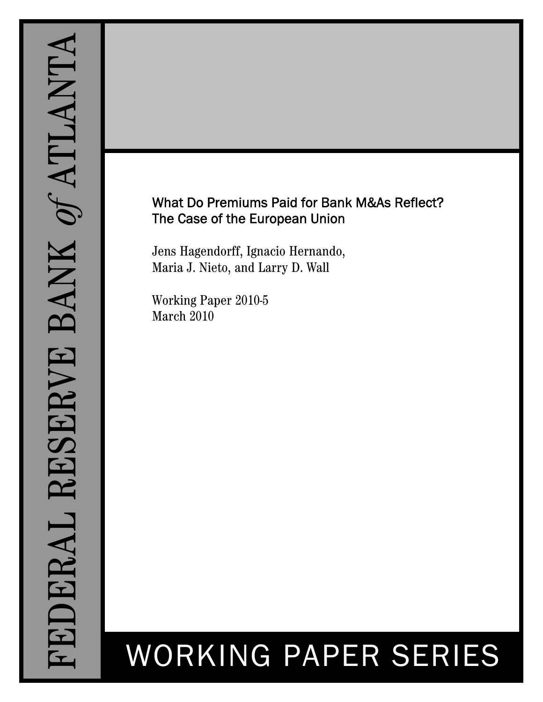# What Do Premiums Paid for Bank M&As Reflect? The Case of the European Union

Jens Hagendorff, Ignacio Hernando, Maria J. Nieto, and Larry D. Wall

Working Paper 2010-5 March 2010

# WORKING PAPER SERIES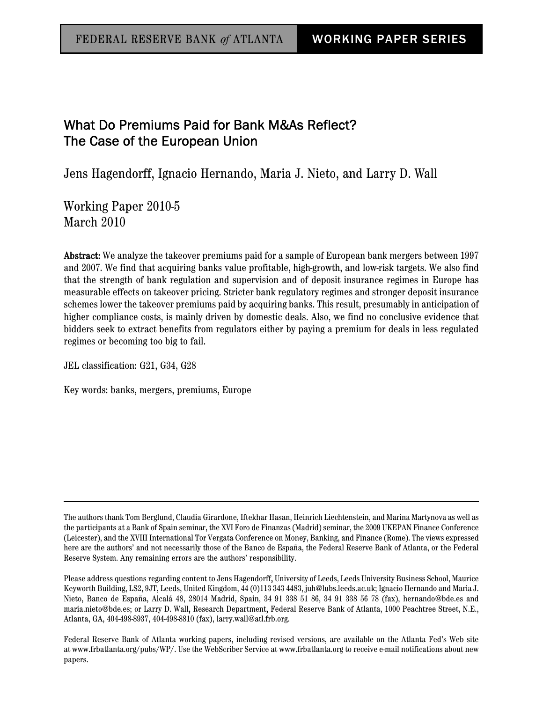## What Do Premiums Paid for Bank M&As Reflect? The Case of the European Union

Jens Hagendorff, Ignacio Hernando, Maria J. Nieto, and Larry D. Wall

Working Paper 2010-5 March 2010

Abstract: We analyze the takeover premiums paid for a sample of European bank mergers between 1997 and 2007. We find that acquiring banks value profitable, high-growth, and low-risk targets. We also find that the strength of bank regulation and supervision and of deposit insurance regimes in Europe has measurable effects on takeover pricing. Stricter bank regulatory regimes and stronger deposit insurance schemes lower the takeover premiums paid by acquiring banks. This result, presumably in anticipation of higher compliance costs, is mainly driven by domestic deals. Also, we find no conclusive evidence that bidders seek to extract benefits from regulators either by paying a premium for deals in less regulated regimes or becoming too big to fail.

JEL classification: G21, G34, G28

Key words: banks, mergers, premiums, Europe

The authors thank Tom Berglund, Claudia Girardone, Iftekhar Hasan, Heinrich Liechtenstein, and Marina Martynova as well as the participants at a Bank of Spain seminar, the XVI Foro de Finanzas (Madrid) seminar, the 2009 UKEPAN Finance Conference (Leicester), and the XVIII International Tor Vergata Conference on Money, Banking, and Finance (Rome). The views expressed here are the authors' and not necessarily those of the Banco de España, the Federal Reserve Bank of Atlanta, or the Federal Reserve System. Any remaining errors are the authors' responsibility.

Please address questions regarding content to Jens Hagendorff, University of Leeds, Leeds University Business School, Maurice Keyworth Building, LS2, 9JT, Leeds, United Kingdom, 44 (0)113 343 4483, juh@lubs.leeds.ac.uk; Ignacio Hernando and Maria J. Nieto, Banco de España, Alcalá 48, 28014 Madrid, Spain, 34 91 338 51 86, 34 91 338 56 78 (fax), hernando@bde.es and maria.nieto@bde.es; or Larry D. Wall, Research Department, Federal Reserve Bank of Atlanta, 1000 Peachtree Street, N.E., Atlanta, GA, 404-498-8937, 404-498-8810 (fax), larry.wall@atl.frb.org.

Federal Reserve Bank of Atlanta working papers, including revised versions, are available on the Atlanta Fed's Web site at www.frbatlanta.org/pubs/WP/. Use the WebScriber Service at www.frbatlanta.org to receive e-mail notifications about new papers.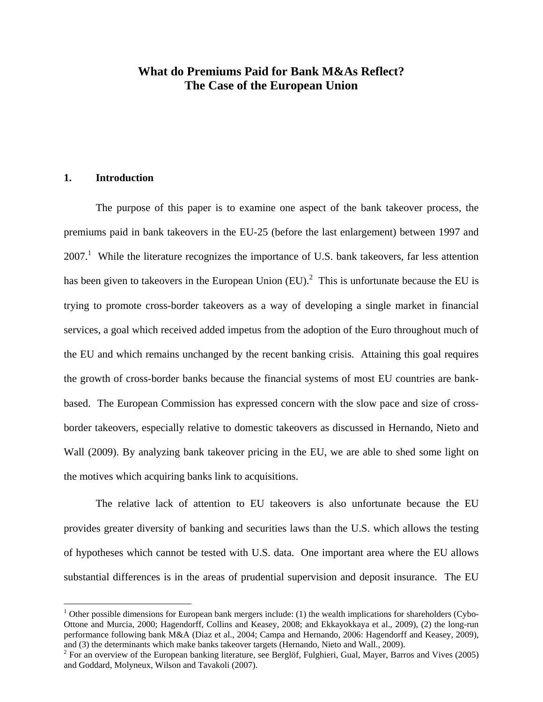## **What do Premiums Paid for Bank M&As Reflect? The Case of the European Union**

#### **1. Introduction**

 $\overline{a}$ 

The purpose of this paper is to examine one aspect of the bank takeover process, the premiums paid in bank takeovers in the EU-25 (before the last enlargement) between 1997 and  $2007<sup>1</sup>$  While the literature recognizes the importance of U.S. bank takeovers, far less attention has been given to takeovers in the European Union  $(EU)$ .<sup>2</sup> This is unfortunate because the EU is trying to promote cross-border takeovers as a way of developing a single market in financial services, a goal which received added impetus from the adoption of the Euro throughout much of the EU and which remains unchanged by the recent banking crisis. Attaining this goal requires the growth of cross-border banks because the financial systems of most EU countries are bankbased. The European Commission has expressed concern with the slow pace and size of crossborder takeovers, especially relative to domestic takeovers as discussed in Hernando, Nieto and Wall (2009). By analyzing bank takeover pricing in the EU, we are able to shed some light on the motives which acquiring banks link to acquisitions.

 The relative lack of attention to EU takeovers is also unfortunate because the EU provides greater diversity of banking and securities laws than the U.S. which allows the testing of hypotheses which cannot be tested with U.S. data. One important area where the EU allows substantial differences is in the areas of prudential supervision and deposit insurance. The EU

 $1$  Other possible dimensions for European bank mergers include: (1) the wealth implications for shareholders (Cybo-Ottone and Murcia, 2000; Hagendorff, Collins and Keasey, 2008; and Ekkayokkaya et al., 2009), (2) the long-run performance following bank M&A (Diaz et al., 2004; Campa and Hernando, 2006: Hagendorff and Keasey, 2009), and (3) the determinants which make banks takeover targets (Hernando, Nieto and Wall., 2009).

 $2^2$  For an overview of the European banking literature, see Berglöf, Fulghieri, Gual, Mayer, Barros and Vives (2005) and Goddard, Molyneux, Wilson and Tavakoli (2007).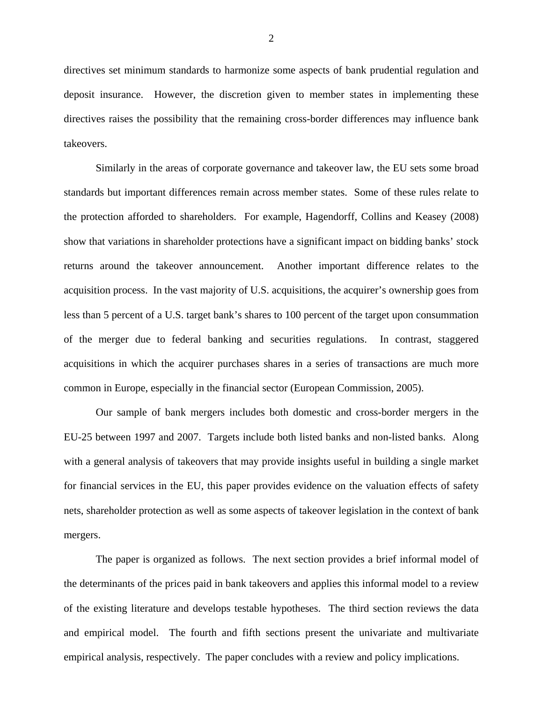directives set minimum standards to harmonize some aspects of bank prudential regulation and deposit insurance. However, the discretion given to member states in implementing these directives raises the possibility that the remaining cross-border differences may influence bank takeovers.

 Similarly in the areas of corporate governance and takeover law, the EU sets some broad standards but important differences remain across member states. Some of these rules relate to the protection afforded to shareholders. For example, Hagendorff, Collins and Keasey (2008) show that variations in shareholder protections have a significant impact on bidding banks' stock returns around the takeover announcement. Another important difference relates to the acquisition process. In the vast majority of U.S. acquisitions, the acquirer's ownership goes from less than 5 percent of a U.S. target bank's shares to 100 percent of the target upon consummation of the merger due to federal banking and securities regulations. In contrast, staggered acquisitions in which the acquirer purchases shares in a series of transactions are much more common in Europe, especially in the financial sector (European Commission, 2005).

Our sample of bank mergers includes both domestic and cross-border mergers in the EU-25 between 1997 and 2007. Targets include both listed banks and non-listed banks. Along with a general analysis of takeovers that may provide insights useful in building a single market for financial services in the EU, this paper provides evidence on the valuation effects of safety nets, shareholder protection as well as some aspects of takeover legislation in the context of bank mergers.

The paper is organized as follows. The next section provides a brief informal model of the determinants of the prices paid in bank takeovers and applies this informal model to a review of the existing literature and develops testable hypotheses. The third section reviews the data and empirical model. The fourth and fifth sections present the univariate and multivariate empirical analysis, respectively. The paper concludes with a review and policy implications.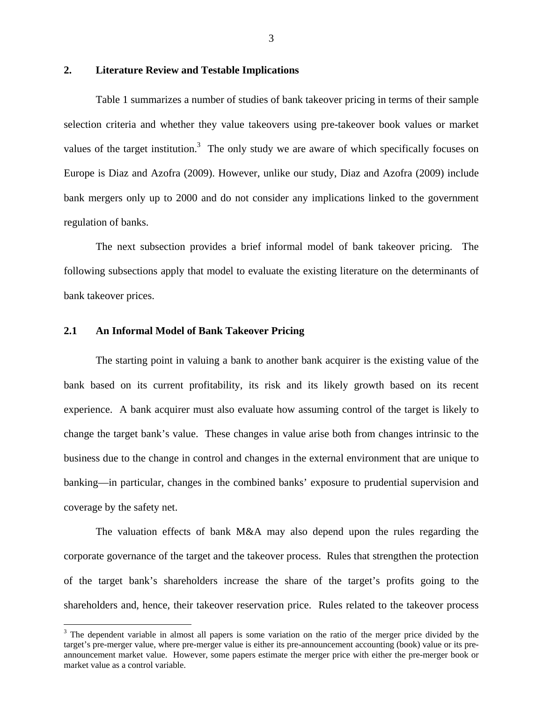#### **2. Literature Review and Testable Implications**

 Table 1 summarizes a number of studies of bank takeover pricing in terms of their sample selection criteria and whether they value takeovers using pre-takeover book values or market values of the target institution.<sup>3</sup> The only study we are aware of which specifically focuses on Europe is Diaz and Azofra (2009). However, unlike our study, Diaz and Azofra (2009) include bank mergers only up to 2000 and do not consider any implications linked to the government regulation of banks.

 The next subsection provides a brief informal model of bank takeover pricing. The following subsections apply that model to evaluate the existing literature on the determinants of bank takeover prices.

#### **2.1 An Informal Model of Bank Takeover Pricing**

 $\overline{a}$ 

The starting point in valuing a bank to another bank acquirer is the existing value of the bank based on its current profitability, its risk and its likely growth based on its recent experience. A bank acquirer must also evaluate how assuming control of the target is likely to change the target bank's value. These changes in value arise both from changes intrinsic to the business due to the change in control and changes in the external environment that are unique to banking—in particular, changes in the combined banks' exposure to prudential supervision and coverage by the safety net.

 The valuation effects of bank M&A may also depend upon the rules regarding the corporate governance of the target and the takeover process. Rules that strengthen the protection of the target bank's shareholders increase the share of the target's profits going to the shareholders and, hence, their takeover reservation price. Rules related to the takeover process

 $3$  The dependent variable in almost all papers is some variation on the ratio of the merger price divided by the target's pre-merger value, where pre-merger value is either its pre-announcement accounting (book) value or its preannouncement market value. However, some papers estimate the merger price with either the pre-merger book or market value as a control variable.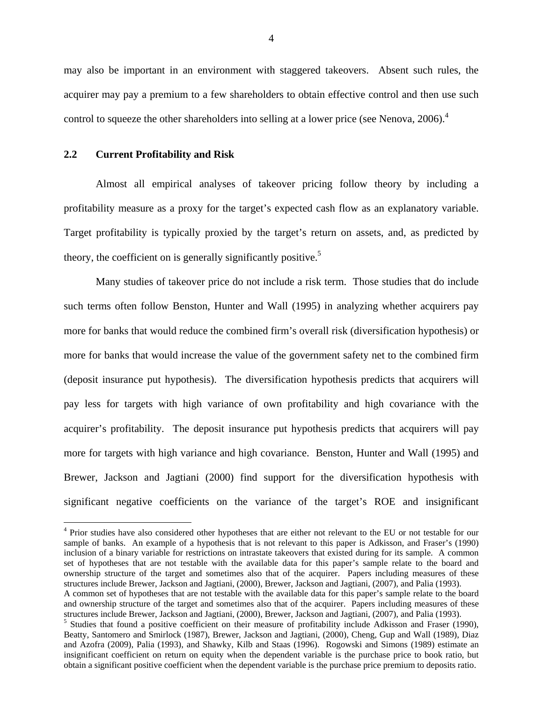may also be important in an environment with staggered takeovers. Absent such rules, the acquirer may pay a premium to a few shareholders to obtain effective control and then use such control to squeeze the other shareholders into selling at a lower price (see Nenova, 2006).<sup>4</sup>

#### **2.2 Current Profitability and Risk**

 $\overline{a}$ 

 Almost all empirical analyses of takeover pricing follow theory by including a profitability measure as a proxy for the target's expected cash flow as an explanatory variable. Target profitability is typically proxied by the target's return on assets, and, as predicted by theory, the coefficient on is generally significantly positive.<sup>5</sup>

 Many studies of takeover price do not include a risk term. Those studies that do include such terms often follow Benston, Hunter and Wall (1995) in analyzing whether acquirers pay more for banks that would reduce the combined firm's overall risk (diversification hypothesis) or more for banks that would increase the value of the government safety net to the combined firm (deposit insurance put hypothesis). The diversification hypothesis predicts that acquirers will pay less for targets with high variance of own profitability and high covariance with the acquirer's profitability. The deposit insurance put hypothesis predicts that acquirers will pay more for targets with high variance and high covariance. Benston, Hunter and Wall (1995) and Brewer, Jackson and Jagtiani (2000) find support for the diversification hypothesis with significant negative coefficients on the variance of the target's ROE and insignificant

<sup>&</sup>lt;sup>4</sup> Prior studies have also considered other hypotheses that are either not relevant to the EU or not testable for our sample of banks. An example of a hypothesis that is not relevant to this paper is Adkisson, and Fraser's (1990) inclusion of a binary variable for restrictions on intrastate takeovers that existed during for its sample. A common set of hypotheses that are not testable with the available data for this paper's sample relate to the board and ownership structure of the target and sometimes also that of the acquirer. Papers including measures of these structures include Brewer, Jackson and Jagtiani, (2000), Brewer, Jackson and Jagtiani, (2007), and Palia (1993).

A common set of hypotheses that are not testable with the available data for this paper's sample relate to the board and ownership structure of the target and sometimes also that of the acquirer. Papers including measures of these structures include Brewer, Jackson and Jagtiani, (2000), Brewer, Jackson and Jagtiani, (2007), and Palia (1993).

<sup>&</sup>lt;sup>5</sup> Studies that found a positive coefficient on their measure of profitability include Adkisson and Fraser (1990), Beatty, Santomero and Smirlock (1987), Brewer, Jackson and Jagtiani, (2000), Cheng, Gup and Wall (1989), Diaz and Azofra (2009), Palia (1993), and Shawky, Kilb and Staas (1996). Rogowski and Simons (1989) estimate an insignificant coefficient on return on equity when the dependent variable is the purchase price to book ratio, but obtain a significant positive coefficient when the dependent variable is the purchase price premium to deposits ratio.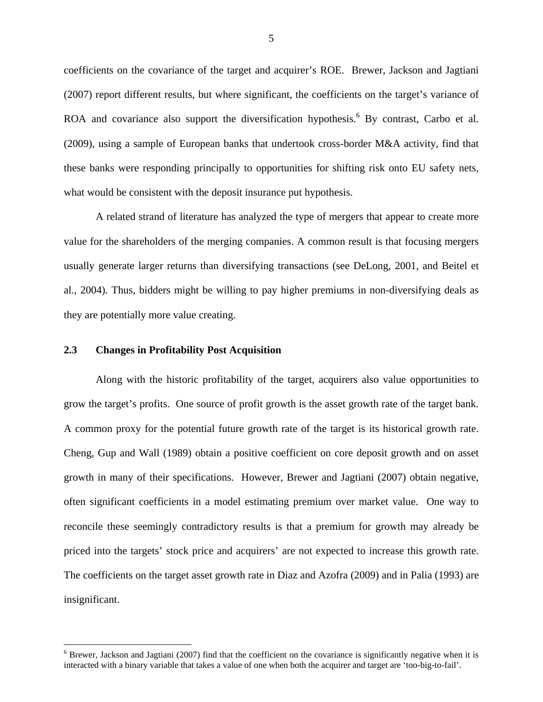coefficients on the covariance of the target and acquirer's ROE. Brewer, Jackson and Jagtiani (2007) report different results, but where significant, the coefficients on the target's variance of ROA and covariance also support the diversification hypothesis.<sup>6</sup> By contrast, Carbo et al. (2009), using a sample of European banks that undertook cross-border M&A activity, find that these banks were responding principally to opportunities for shifting risk onto EU safety nets, what would be consistent with the deposit insurance put hypothesis.

 A related strand of literature has analyzed the type of mergers that appear to create more value for the shareholders of the merging companies. A common result is that focusing mergers usually generate larger returns than diversifying transactions (see DeLong, 2001, and Beitel et al., 2004). Thus, bidders might be willing to pay higher premiums in non-diversifying deals as they are potentially more value creating.

#### **2.3 Changes in Profitability Post Acquisition**

 $\overline{a}$ 

Along with the historic profitability of the target, acquirers also value opportunities to grow the target's profits. One source of profit growth is the asset growth rate of the target bank. A common proxy for the potential future growth rate of the target is its historical growth rate. Cheng, Gup and Wall (1989) obtain a positive coefficient on core deposit growth and on asset growth in many of their specifications. However, Brewer and Jagtiani (2007) obtain negative, often significant coefficients in a model estimating premium over market value. One way to reconcile these seemingly contradictory results is that a premium for growth may already be priced into the targets' stock price and acquirers' are not expected to increase this growth rate. The coefficients on the target asset growth rate in Diaz and Azofra (2009) and in Palia (1993) are insignificant.

 $6$  Brewer, Jackson and Jagtiani (2007) find that the coefficient on the covariance is significantly negative when it is interacted with a binary variable that takes a value of one when both the acquirer and target are 'too-big-to-fail'.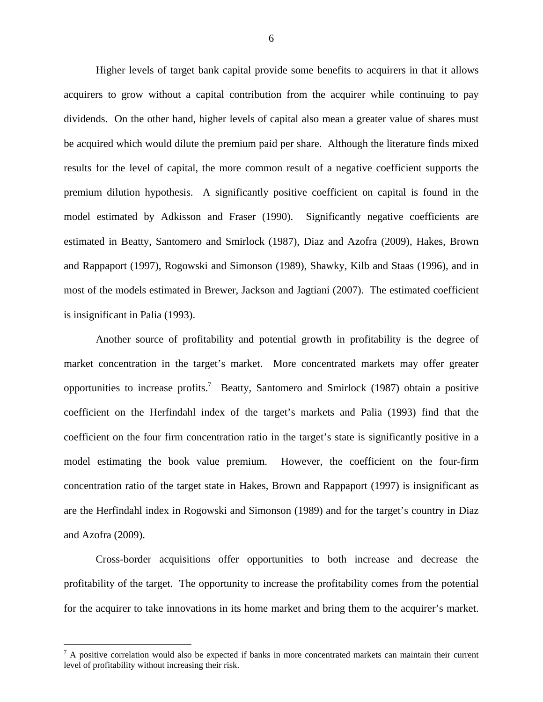Higher levels of target bank capital provide some benefits to acquirers in that it allows acquirers to grow without a capital contribution from the acquirer while continuing to pay dividends. On the other hand, higher levels of capital also mean a greater value of shares must be acquired which would dilute the premium paid per share. Although the literature finds mixed results for the level of capital, the more common result of a negative coefficient supports the premium dilution hypothesis. A significantly positive coefficient on capital is found in the model estimated by Adkisson and Fraser (1990). Significantly negative coefficients are estimated in Beatty, Santomero and Smirlock (1987), Diaz and Azofra (2009), Hakes, Brown and Rappaport (1997), Rogowski and Simonson (1989), Shawky, Kilb and Staas (1996), and in most of the models estimated in Brewer, Jackson and Jagtiani (2007). The estimated coefficient is insignificant in Palia (1993).

Another source of profitability and potential growth in profitability is the degree of market concentration in the target's market. More concentrated markets may offer greater opportunities to increase profits.<sup>7</sup> Beatty, Santomero and Smirlock (1987) obtain a positive coefficient on the Herfindahl index of the target's markets and Palia (1993) find that the coefficient on the four firm concentration ratio in the target's state is significantly positive in a model estimating the book value premium. However, the coefficient on the four-firm concentration ratio of the target state in Hakes, Brown and Rappaport (1997) is insignificant as are the Herfindahl index in Rogowski and Simonson (1989) and for the target's country in Diaz and Azofra (2009).

Cross-border acquisitions offer opportunities to both increase and decrease the profitability of the target. The opportunity to increase the profitability comes from the potential for the acquirer to take innovations in its home market and bring them to the acquirer's market.

 $\overline{a}$ 

 $<sup>7</sup>$  A positive correlation would also be expected if banks in more concentrated markets can maintain their current</sup> level of profitability without increasing their risk.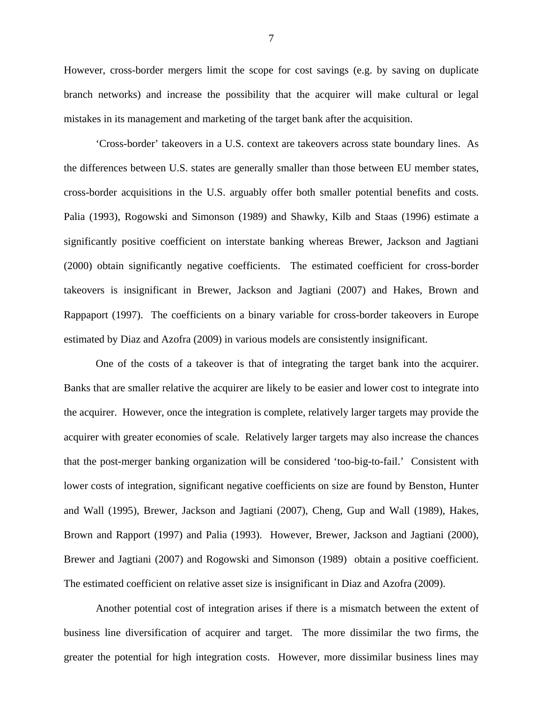However, cross-border mergers limit the scope for cost savings (e.g. by saving on duplicate branch networks) and increase the possibility that the acquirer will make cultural or legal mistakes in its management and marketing of the target bank after the acquisition.

'Cross-border' takeovers in a U.S. context are takeovers across state boundary lines. As the differences between U.S. states are generally smaller than those between EU member states, cross-border acquisitions in the U.S. arguably offer both smaller potential benefits and costs. Palia (1993), Rogowski and Simonson (1989) and Shawky, Kilb and Staas (1996) estimate a significantly positive coefficient on interstate banking whereas Brewer, Jackson and Jagtiani (2000) obtain significantly negative coefficients. The estimated coefficient for cross-border takeovers is insignificant in Brewer, Jackson and Jagtiani (2007) and Hakes, Brown and Rappaport (1997). The coefficients on a binary variable for cross-border takeovers in Europe estimated by Diaz and Azofra (2009) in various models are consistently insignificant.

One of the costs of a takeover is that of integrating the target bank into the acquirer. Banks that are smaller relative the acquirer are likely to be easier and lower cost to integrate into the acquirer. However, once the integration is complete, relatively larger targets may provide the acquirer with greater economies of scale. Relatively larger targets may also increase the chances that the post-merger banking organization will be considered 'too-big-to-fail.' Consistent with lower costs of integration, significant negative coefficients on size are found by Benston, Hunter and Wall (1995), Brewer, Jackson and Jagtiani (2007), Cheng, Gup and Wall (1989), Hakes, Brown and Rapport (1997) and Palia (1993). However, Brewer, Jackson and Jagtiani (2000), Brewer and Jagtiani (2007) and Rogowski and Simonson (1989) obtain a positive coefficient. The estimated coefficient on relative asset size is insignificant in Diaz and Azofra (2009).

Another potential cost of integration arises if there is a mismatch between the extent of business line diversification of acquirer and target. The more dissimilar the two firms, the greater the potential for high integration costs. However, more dissimilar business lines may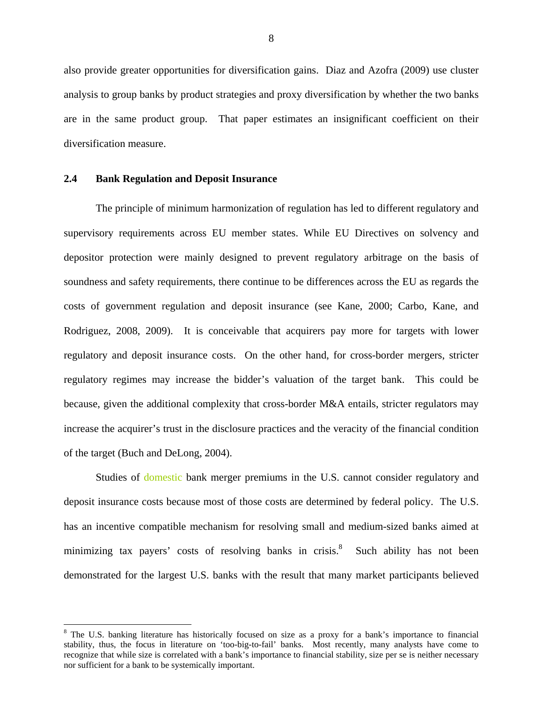also provide greater opportunities for diversification gains. Diaz and Azofra (2009) use cluster analysis to group banks by product strategies and proxy diversification by whether the two banks are in the same product group. That paper estimates an insignificant coefficient on their diversification measure.

#### **2.4 Bank Regulation and Deposit Insurance**

 $\overline{a}$ 

 The principle of minimum harmonization of regulation has led to different regulatory and supervisory requirements across EU member states. While EU Directives on solvency and depositor protection were mainly designed to prevent regulatory arbitrage on the basis of soundness and safety requirements, there continue to be differences across the EU as regards the costs of government regulation and deposit insurance (see Kane, 2000; Carbo, Kane, and Rodriguez, 2008, 2009). It is conceivable that acquirers pay more for targets with lower regulatory and deposit insurance costs. On the other hand, for cross-border mergers, stricter regulatory regimes may increase the bidder's valuation of the target bank. This could be because, given the additional complexity that cross-border M&A entails, stricter regulators may increase the acquirer's trust in the disclosure practices and the veracity of the financial condition of the target (Buch and DeLong, 2004).

Studies of domestic bank merger premiums in the U.S. cannot consider regulatory and deposit insurance costs because most of those costs are determined by federal policy. The U.S. has an incentive compatible mechanism for resolving small and medium-sized banks aimed at minimizing tax payers' costs of resolving banks in crisis.<sup>8</sup> Such ability has not been demonstrated for the largest U.S. banks with the result that many market participants believed

<sup>&</sup>lt;sup>8</sup> The U.S. banking literature has historically focused on size as a proxy for a bank's importance to financial stability, thus, the focus in literature on 'too-big-to-fail' banks. Most recently, many analysts have come to recognize that while size is correlated with a bank's importance to financial stability, size per se is neither necessary nor sufficient for a bank to be systemically important.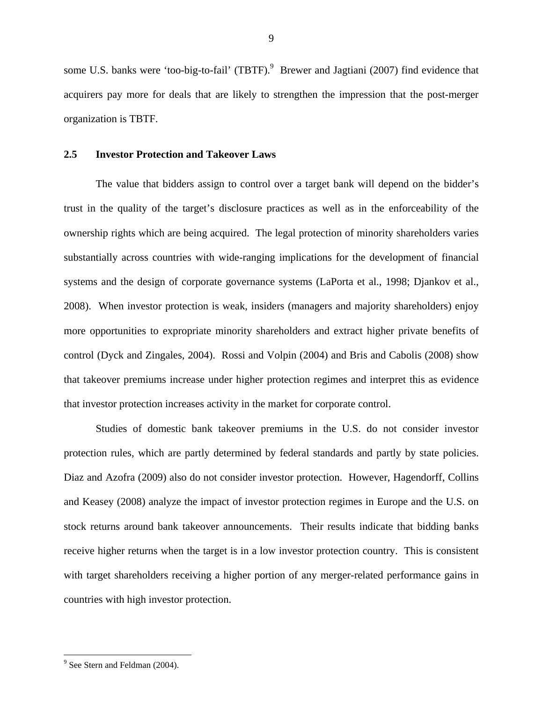some U.S. banks were 'too-big-to-fail' (TBTF).<sup>9</sup> Brewer and Jagtiani (2007) find evidence that acquirers pay more for deals that are likely to strengthen the impression that the post-merger organization is TBTF.

#### **2.5 Investor Protection and Takeover Laws**

 The value that bidders assign to control over a target bank will depend on the bidder's trust in the quality of the target's disclosure practices as well as in the enforceability of the ownership rights which are being acquired. The legal protection of minority shareholders varies substantially across countries with wide-ranging implications for the development of financial systems and the design of corporate governance systems (LaPorta et al., 1998; Djankov et al., 2008). When investor protection is weak, insiders (managers and majority shareholders) enjoy more opportunities to expropriate minority shareholders and extract higher private benefits of control (Dyck and Zingales, 2004). Rossi and Volpin (2004) and Bris and Cabolis (2008) show that takeover premiums increase under higher protection regimes and interpret this as evidence that investor protection increases activity in the market for corporate control.

Studies of domestic bank takeover premiums in the U.S. do not consider investor protection rules, which are partly determined by federal standards and partly by state policies. Diaz and Azofra (2009) also do not consider investor protection. However, Hagendorff, Collins and Keasey (2008) analyze the impact of investor protection regimes in Europe and the U.S. on stock returns around bank takeover announcements. Their results indicate that bidding banks receive higher returns when the target is in a low investor protection country. This is consistent with target shareholders receiving a higher portion of any merger-related performance gains in countries with high investor protection.

9

 $\overline{a}$ 

<sup>&</sup>lt;sup>9</sup> See Stern and Feldman (2004).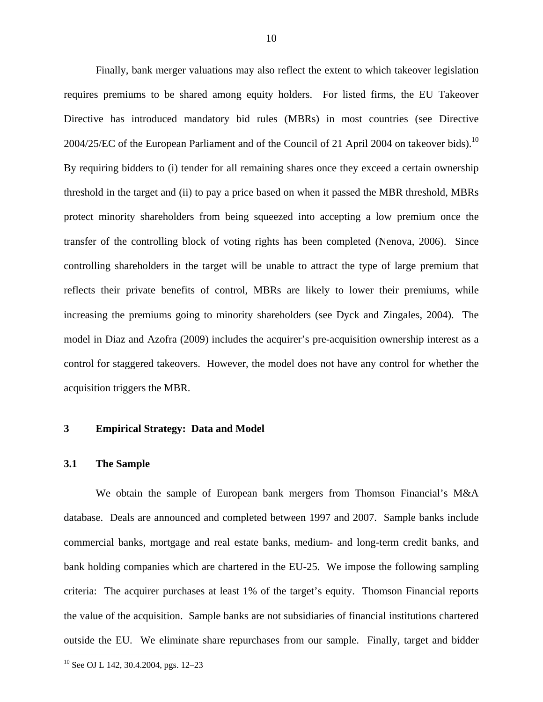Finally, bank merger valuations may also reflect the extent to which takeover legislation requires premiums to be shared among equity holders. For listed firms, the EU Takeover Directive has introduced mandatory bid rules (MBRs) in most countries (see Directive 2004/25/EC of the European Parliament and of the Council of 21 April 2004 on takeover bids).<sup>10</sup> By requiring bidders to (i) tender for all remaining shares once they exceed a certain ownership threshold in the target and (ii) to pay a price based on when it passed the MBR threshold, MBRs protect minority shareholders from being squeezed into accepting a low premium once the transfer of the controlling block of voting rights has been completed (Nenova, 2006). Since controlling shareholders in the target will be unable to attract the type of large premium that reflects their private benefits of control, MBRs are likely to lower their premiums, while increasing the premiums going to minority shareholders (see Dyck and Zingales, 2004). The model in Diaz and Azofra (2009) includes the acquirer's pre-acquisition ownership interest as a control for staggered takeovers. However, the model does not have any control for whether the acquisition triggers the MBR.

#### **3 Empirical Strategy: Data and Model**

#### **3.1 The Sample**

We obtain the sample of European bank mergers from Thomson Financial's M&A database. Deals are announced and completed between 1997 and 2007. Sample banks include commercial banks, mortgage and real estate banks, medium- and long-term credit banks, and bank holding companies which are chartered in the EU-25. We impose the following sampling criteria: The acquirer purchases at least 1% of the target's equity. Thomson Financial reports the value of the acquisition. Sample banks are not subsidiaries of financial institutions chartered outside the EU. We eliminate share repurchases from our sample. Finally, target and bidder

<u>.</u>

<sup>10</sup> 

<sup>&</sup>lt;sup>10</sup> See OJ L 142, 30.4.2004, pgs. 12–23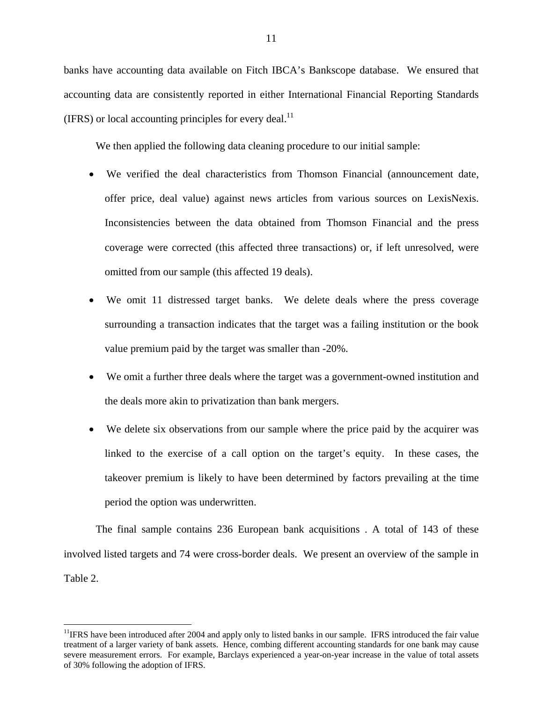banks have accounting data available on Fitch IBCA's Bankscope database. We ensured that accounting data are consistently reported in either International Financial Reporting Standards (IFRS) or local accounting principles for every deal.<sup>11</sup>

We then applied the following data cleaning procedure to our initial sample:

- We verified the deal characteristics from Thomson Financial (announcement date, offer price, deal value) against news articles from various sources on LexisNexis. Inconsistencies between the data obtained from Thomson Financial and the press coverage were corrected (this affected three transactions) or, if left unresolved, were omitted from our sample (this affected 19 deals).
- We omit 11 distressed target banks. We delete deals where the press coverage surrounding a transaction indicates that the target was a failing institution or the book value premium paid by the target was smaller than -20%.
- We omit a further three deals where the target was a government-owned institution and the deals more akin to privatization than bank mergers.
- We delete six observations from our sample where the price paid by the acquirer was linked to the exercise of a call option on the target's equity. In these cases, the takeover premium is likely to have been determined by factors prevailing at the time period the option was underwritten.

The final sample contains 236 European bank acquisitions . A total of 143 of these involved listed targets and 74 were cross-border deals. We present an overview of the sample in Table 2.

<u>.</u>

 $11$ IFRS have been introduced after 2004 and apply only to listed banks in our sample. IFRS introduced the fair value treatment of a larger variety of bank assets. Hence, combing different accounting standards for one bank may cause severe measurement errors. For example, Barclays experienced a year-on-year increase in the value of total assets of 30% following the adoption of IFRS.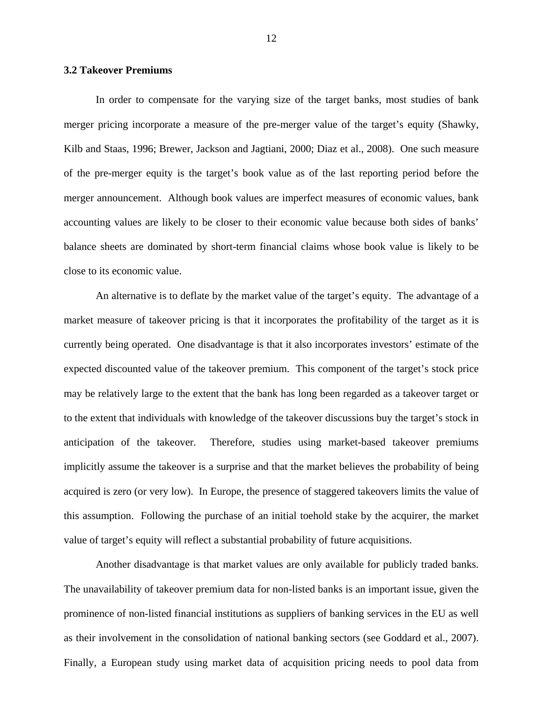#### **3.2 Takeover Premiums**

In order to compensate for the varying size of the target banks, most studies of bank merger pricing incorporate a measure of the pre-merger value of the target's equity (Shawky, Kilb and Staas, 1996; Brewer, Jackson and Jagtiani, 2000; Diaz et al., 2008). One such measure of the pre-merger equity is the target's book value as of the last reporting period before the merger announcement. Although book values are imperfect measures of economic values, bank accounting values are likely to be closer to their economic value because both sides of banks' balance sheets are dominated by short-term financial claims whose book value is likely to be close to its economic value.

An alternative is to deflate by the market value of the target's equity. The advantage of a market measure of takeover pricing is that it incorporates the profitability of the target as it is currently being operated. One disadvantage is that it also incorporates investors' estimate of the expected discounted value of the takeover premium. This component of the target's stock price may be relatively large to the extent that the bank has long been regarded as a takeover target or to the extent that individuals with knowledge of the takeover discussions buy the target's stock in anticipation of the takeover. Therefore, studies using market-based takeover premiums implicitly assume the takeover is a surprise and that the market believes the probability of being acquired is zero (or very low). In Europe, the presence of staggered takeovers limits the value of this assumption. Following the purchase of an initial toehold stake by the acquirer, the market value of target's equity will reflect a substantial probability of future acquisitions.

Another disadvantage is that market values are only available for publicly traded banks. The unavailability of takeover premium data for non-listed banks is an important issue, given the prominence of non-listed financial institutions as suppliers of banking services in the EU as well as their involvement in the consolidation of national banking sectors (see Goddard et al., 2007). Finally, a European study using market data of acquisition pricing needs to pool data from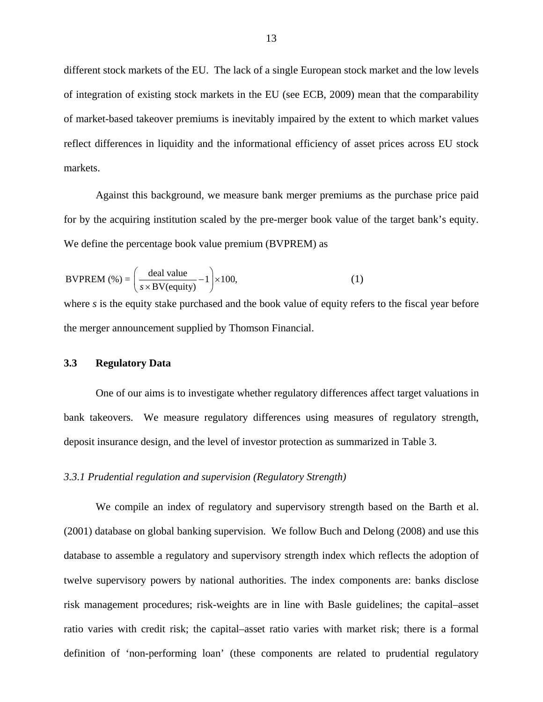different stock markets of the EU. The lack of a single European stock market and the low levels of integration of existing stock markets in the EU (see ECB, 2009) mean that the comparability of market-based takeover premiums is inevitably impaired by the extent to which market values reflect differences in liquidity and the informational efficiency of asset prices across EU stock markets.

Against this background, we measure bank merger premiums as the purchase price paid for by the acquiring institution scaled by the pre-merger book value of the target bank's equity. We define the percentage book value premium (BVPREM) as

$$
BVPREM\text{ (%)} = \left(\frac{\text{deal value}}{s \times BV(\text{equity})} - 1\right) \times 100,\tag{1}
$$

where *s* is the equity stake purchased and the book value of equity refers to the fiscal year before the merger announcement supplied by Thomson Financial.

#### **3.3 Regulatory Data**

One of our aims is to investigate whether regulatory differences affect target valuations in bank takeovers. We measure regulatory differences using measures of regulatory strength, deposit insurance design, and the level of investor protection as summarized in Table 3.

#### *3.3.1 Prudential regulation and supervision (Regulatory Strength)*

We compile an index of regulatory and supervisory strength based on the Barth et al. (2001) database on global banking supervision. We follow Buch and Delong (2008) and use this database to assemble a regulatory and supervisory strength index which reflects the adoption of twelve supervisory powers by national authorities. The index components are: banks disclose risk management procedures; risk-weights are in line with Basle guidelines; the capital–asset ratio varies with credit risk; the capital–asset ratio varies with market risk; there is a formal definition of 'non-performing loan' (these components are related to prudential regulatory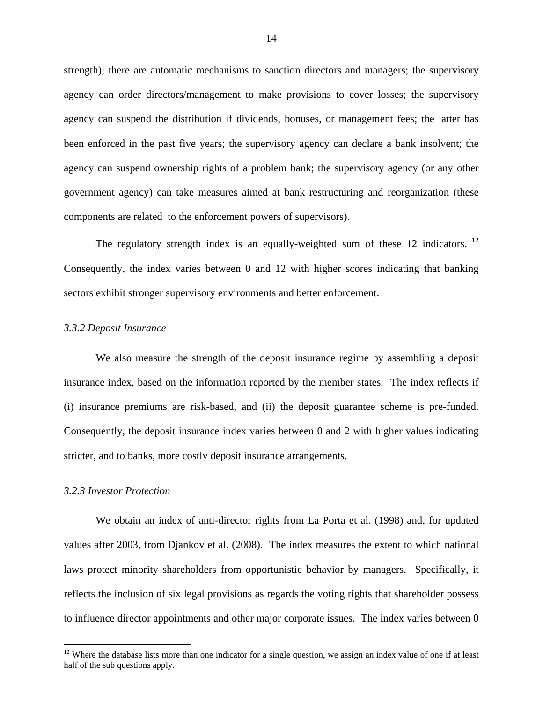strength); there are automatic mechanisms to sanction directors and managers; the supervisory agency can order directors/management to make provisions to cover losses; the supervisory agency can suspend the distribution if dividends, bonuses, or management fees; the latter has been enforced in the past five years; the supervisory agency can declare a bank insolvent; the agency can suspend ownership rights of a problem bank; the supervisory agency (or any other government agency) can take measures aimed at bank restructuring and reorganization (these components are related to the enforcement powers of supervisors).

The regulatory strength index is an equally-weighted sum of these 12 indicators.  $12$ Consequently, the index varies between 0 and 12 with higher scores indicating that banking sectors exhibit stronger supervisory environments and better enforcement.

#### *3.3.2 Deposit Insurance*

We also measure the strength of the deposit insurance regime by assembling a deposit insurance index, based on the information reported by the member states. The index reflects if (i) insurance premiums are risk-based, and (ii) the deposit guarantee scheme is pre-funded. Consequently, the deposit insurance index varies between 0 and 2 with higher values indicating stricter, and to banks, more costly deposit insurance arrangements.

#### *3.2.3 Investor Protection*

1

We obtain an index of anti-director rights from La Porta et al. (1998) and, for updated values after 2003, from Djankov et al. (2008). The index measures the extent to which national laws protect minority shareholders from opportunistic behavior by managers. Specifically, it reflects the inclusion of six legal provisions as regards the voting rights that shareholder possess to influence director appointments and other major corporate issues. The index varies between 0

 $12$  Where the database lists more than one indicator for a single question, we assign an index value of one if at least half of the sub questions apply.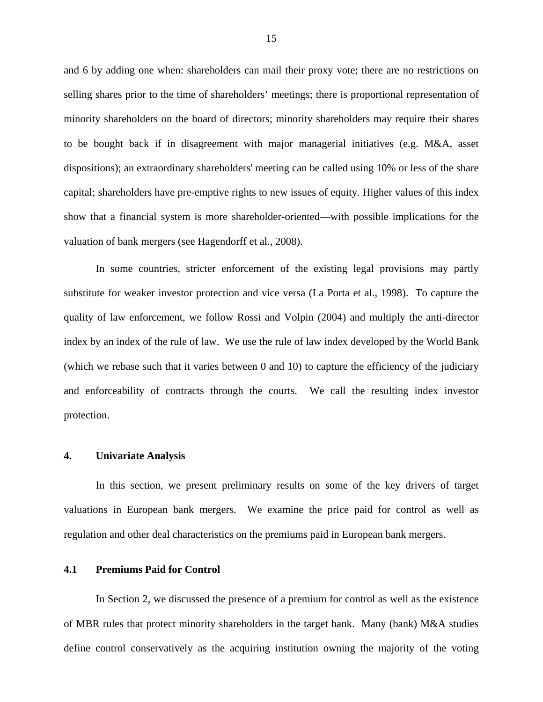and 6 by adding one when: shareholders can mail their proxy vote; there are no restrictions on selling shares prior to the time of shareholders' meetings; there is proportional representation of minority shareholders on the board of directors; minority shareholders may require their shares to be bought back if in disagreement with major managerial initiatives (e.g. M&A, asset dispositions); an extraordinary shareholders' meeting can be called using 10% or less of the share capital; shareholders have pre-emptive rights to new issues of equity. Higher values of this index show that a financial system is more shareholder-oriented—with possible implications for the valuation of bank mergers (see Hagendorff et al., 2008).

In some countries, stricter enforcement of the existing legal provisions may partly substitute for weaker investor protection and vice versa (La Porta et al., 1998). To capture the quality of law enforcement, we follow Rossi and Volpin (2004) and multiply the anti-director index by an index of the rule of law. We use the rule of law index developed by the World Bank (which we rebase such that it varies between 0 and 10) to capture the efficiency of the judiciary and enforceability of contracts through the courts. We call the resulting index investor protection.

#### **4. Univariate Analysis**

In this section, we present preliminary results on some of the key drivers of target valuations in European bank mergers. We examine the price paid for control as well as regulation and other deal characteristics on the premiums paid in European bank mergers.

#### **4.1 Premiums Paid for Control**

In Section 2, we discussed the presence of a premium for control as well as the existence of MBR rules that protect minority shareholders in the target bank. Many (bank) M&A studies define control conservatively as the acquiring institution owning the majority of the voting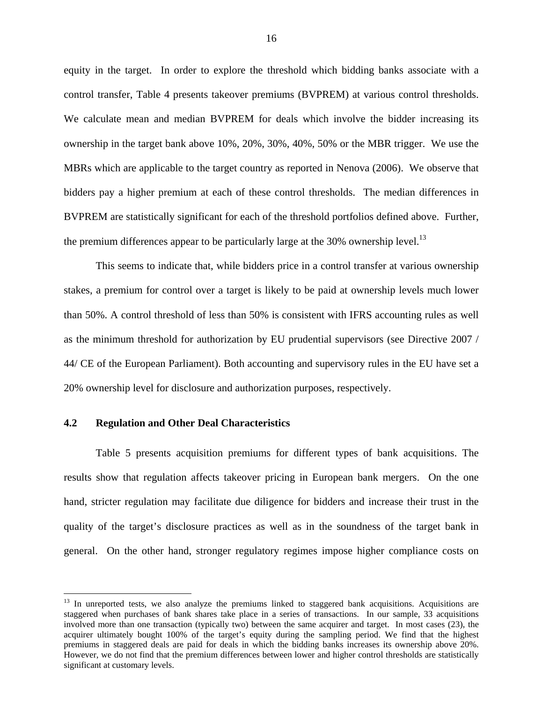equity in the target. In order to explore the threshold which bidding banks associate with a control transfer, Table 4 presents takeover premiums (BVPREM) at various control thresholds. We calculate mean and median BVPREM for deals which involve the bidder increasing its ownership in the target bank above 10%, 20%, 30%, 40%, 50% or the MBR trigger. We use the MBRs which are applicable to the target country as reported in Nenova (2006). We observe that bidders pay a higher premium at each of these control thresholds. The median differences in BVPREM are statistically significant for each of the threshold portfolios defined above. Further, the premium differences appear to be particularly large at the  $30\%$  ownership level.<sup>13</sup>

This seems to indicate that, while bidders price in a control transfer at various ownership stakes, a premium for control over a target is likely to be paid at ownership levels much lower than 50%. A control threshold of less than 50% is consistent with IFRS accounting rules as well as the minimum threshold for authorization by EU prudential supervisors (see Directive 2007 / 44/ CE of the European Parliament). Both accounting and supervisory rules in the EU have set a 20% ownership level for disclosure and authorization purposes, respectively.

#### **4.2 Regulation and Other Deal Characteristics**

 $\overline{a}$ 

Table 5 presents acquisition premiums for different types of bank acquisitions. The results show that regulation affects takeover pricing in European bank mergers. On the one hand, stricter regulation may facilitate due diligence for bidders and increase their trust in the quality of the target's disclosure practices as well as in the soundness of the target bank in general. On the other hand, stronger regulatory regimes impose higher compliance costs on

<sup>&</sup>lt;sup>13</sup> In unreported tests, we also analyze the premiums linked to staggered bank acquisitions. Acquisitions are staggered when purchases of bank shares take place in a series of transactions. In our sample, 33 acquisitions involved more than one transaction (typically two) between the same acquirer and target. In most cases (23), the acquirer ultimately bought 100% of the target's equity during the sampling period. We find that the highest premiums in staggered deals are paid for deals in which the bidding banks increases its ownership above 20%. However, we do not find that the premium differences between lower and higher control thresholds are statistically significant at customary levels.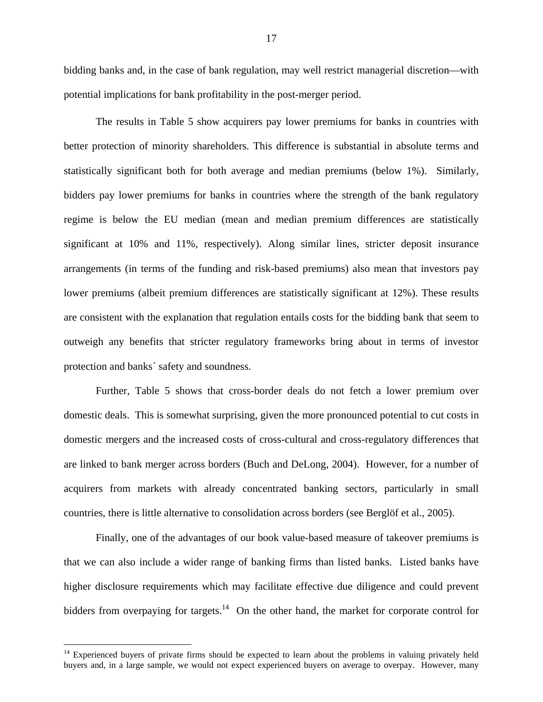bidding banks and, in the case of bank regulation, may well restrict managerial discretion—with potential implications for bank profitability in the post-merger period.

The results in Table 5 show acquirers pay lower premiums for banks in countries with better protection of minority shareholders. This difference is substantial in absolute terms and statistically significant both for both average and median premiums (below 1%). Similarly, bidders pay lower premiums for banks in countries where the strength of the bank regulatory regime is below the EU median (mean and median premium differences are statistically significant at 10% and 11%, respectively). Along similar lines, stricter deposit insurance arrangements (in terms of the funding and risk-based premiums) also mean that investors pay lower premiums (albeit premium differences are statistically significant at 12%). These results are consistent with the explanation that regulation entails costs for the bidding bank that seem to outweigh any benefits that stricter regulatory frameworks bring about in terms of investor protection and banks´ safety and soundness.

Further, Table 5 shows that cross-border deals do not fetch a lower premium over domestic deals. This is somewhat surprising, given the more pronounced potential to cut costs in domestic mergers and the increased costs of cross-cultural and cross-regulatory differences that are linked to bank merger across borders (Buch and DeLong, 2004). However, for a number of acquirers from markets with already concentrated banking sectors, particularly in small countries, there is little alternative to consolidation across borders (see Berglöf et al., 2005).

Finally, one of the advantages of our book value-based measure of takeover premiums is that we can also include a wider range of banking firms than listed banks. Listed banks have higher disclosure requirements which may facilitate effective due diligence and could prevent bidders from overpaying for targets.<sup>14</sup> On the other hand, the market for corporate control for

1

<sup>&</sup>lt;sup>14</sup> Experienced buyers of private firms should be expected to learn about the problems in valuing privately held buyers and, in a large sample, we would not expect experienced buyers on average to overpay. However, many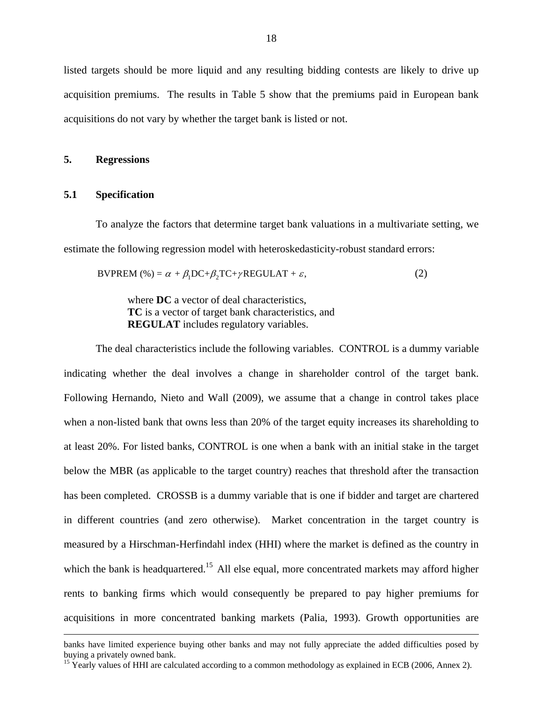listed targets should be more liquid and any resulting bidding contests are likely to drive up acquisition premiums. The results in Table 5 show that the premiums paid in European bank acquisitions do not vary by whether the target bank is listed or not.

#### **5. Regressions**

#### **5.1 Specification**

To analyze the factors that determine target bank valuations in a multivariate setting, we estimate the following regression model with heteroskedasticity-robust standard errors:

$$
BVPREM\text{ (%)} = \alpha + \beta_1 DC + \beta_2 TC + \gamma REGULAR + \varepsilon,\tag{2}
$$

where **DC** a vector of deal characteristics, **TC** is a vector of target bank characteristics, and **REGULAT** includes regulatory variables.

The deal characteristics include the following variables. CONTROL is a dummy variable indicating whether the deal involves a change in shareholder control of the target bank. Following Hernando, Nieto and Wall (2009), we assume that a change in control takes place when a non-listed bank that owns less than 20% of the target equity increases its shareholding to at least 20%. For listed banks, CONTROL is one when a bank with an initial stake in the target below the MBR (as applicable to the target country) reaches that threshold after the transaction has been completed. CROSSB is a dummy variable that is one if bidder and target are chartered in different countries (and zero otherwise). Market concentration in the target country is measured by a Hirschman-Herfindahl index (HHI) where the market is defined as the country in which the bank is headquartered.<sup>15</sup> All else equal, more concentrated markets may afford higher rents to banking firms which would consequently be prepared to pay higher premiums for acquisitions in more concentrated banking markets (Palia, 1993). Growth opportunities are

banks have limited experience buying other banks and may not fully appreciate the added difficulties posed by buying a privately owned bank.

<sup>&</sup>lt;sup>15</sup> Yearly values of HHI are calculated according to a common methodology as explained in ECB (2006, Annex 2).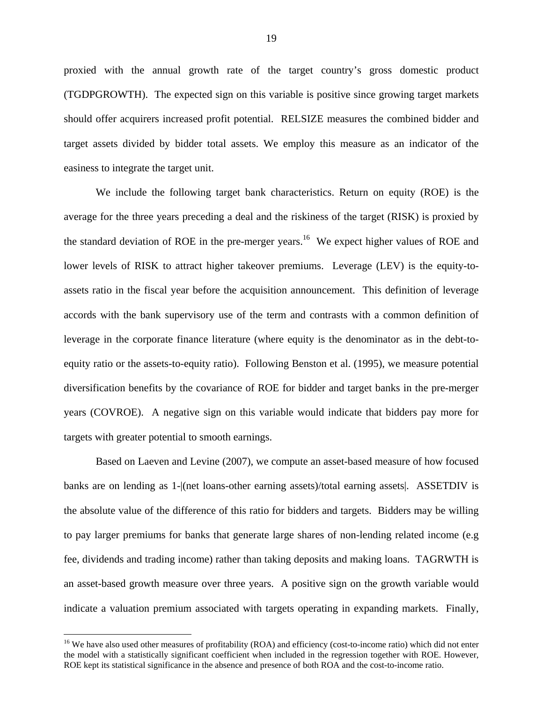proxied with the annual growth rate of the target country's gross domestic product (TGDPGROWTH). The expected sign on this variable is positive since growing target markets should offer acquirers increased profit potential. RELSIZE measures the combined bidder and target assets divided by bidder total assets. We employ this measure as an indicator of the easiness to integrate the target unit.

We include the following target bank characteristics. Return on equity (ROE) is the average for the three years preceding a deal and the riskiness of the target (RISK) is proxied by the standard deviation of ROE in the pre-merger years.<sup>16</sup> We expect higher values of ROE and lower levels of RISK to attract higher takeover premiums. Leverage (LEV) is the equity-toassets ratio in the fiscal year before the acquisition announcement. This definition of leverage accords with the bank supervisory use of the term and contrasts with a common definition of leverage in the corporate finance literature (where equity is the denominator as in the debt-toequity ratio or the assets-to-equity ratio). Following Benston et al. (1995), we measure potential diversification benefits by the covariance of ROE for bidder and target banks in the pre-merger years (COVROE). A negative sign on this variable would indicate that bidders pay more for targets with greater potential to smooth earnings.

Based on Laeven and Levine (2007), we compute an asset-based measure of how focused banks are on lending as 1-|(net loans-other earning assets)/total earning assets|. ASSETDIV is the absolute value of the difference of this ratio for bidders and targets. Bidders may be willing to pay larger premiums for banks that generate large shares of non-lending related income (e.g fee, dividends and trading income) rather than taking deposits and making loans. TAGRWTH is an asset-based growth measure over three years. A positive sign on the growth variable would indicate a valuation premium associated with targets operating in expanding markets. Finally,

1

<sup>&</sup>lt;sup>16</sup> We have also used other measures of profitability (ROA) and efficiency (cost-to-income ratio) which did not enter the model with a statistically significant coefficient when included in the regression together with ROE. However, ROE kept its statistical significance in the absence and presence of both ROA and the cost-to-income ratio.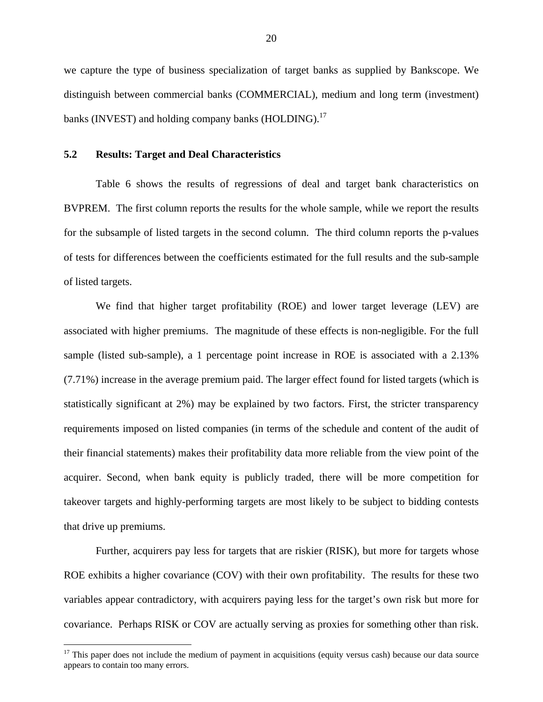we capture the type of business specialization of target banks as supplied by Bankscope. We distinguish between commercial banks (COMMERCIAL), medium and long term (investment) banks (INVEST) and holding company banks (HOLDING).<sup>17</sup>

#### **5.2 Results: Target and Deal Characteristics**

 $\overline{a}$ 

Table 6 shows the results of regressions of deal and target bank characteristics on BVPREM. The first column reports the results for the whole sample, while we report the results for the subsample of listed targets in the second column. The third column reports the p-values of tests for differences between the coefficients estimated for the full results and the sub-sample of listed targets.

We find that higher target profitability (ROE) and lower target leverage (LEV) are associated with higher premiums. The magnitude of these effects is non-negligible. For the full sample (listed sub-sample), a 1 percentage point increase in ROE is associated with a 2.13% (7.71%) increase in the average premium paid. The larger effect found for listed targets (which is statistically significant at 2%) may be explained by two factors. First, the stricter transparency requirements imposed on listed companies (in terms of the schedule and content of the audit of their financial statements) makes their profitability data more reliable from the view point of the acquirer. Second, when bank equity is publicly traded, there will be more competition for takeover targets and highly-performing targets are most likely to be subject to bidding contests that drive up premiums.

Further, acquirers pay less for targets that are riskier (RISK), but more for targets whose ROE exhibits a higher covariance (COV) with their own profitability. The results for these two variables appear contradictory, with acquirers paying less for the target's own risk but more for covariance. Perhaps RISK or COV are actually serving as proxies for something other than risk.

 $17$  This paper does not include the medium of payment in acquisitions (equity versus cash) because our data source appears to contain too many errors.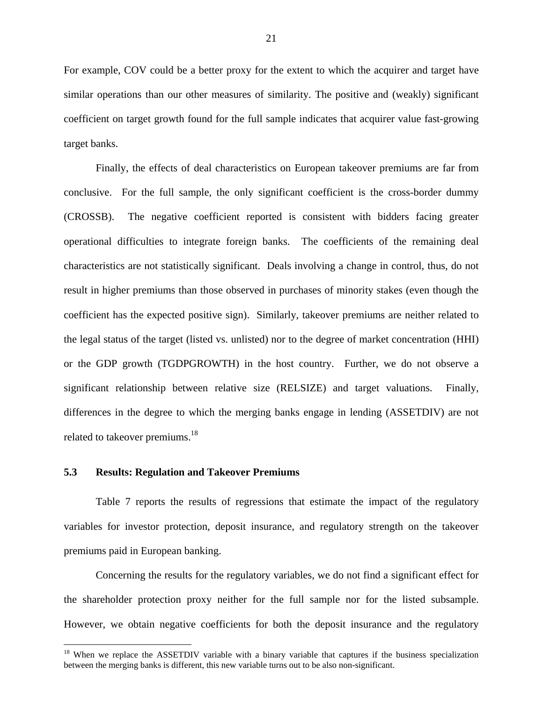For example, COV could be a better proxy for the extent to which the acquirer and target have similar operations than our other measures of similarity. The positive and (weakly) significant coefficient on target growth found for the full sample indicates that acquirer value fast-growing target banks.

Finally, the effects of deal characteristics on European takeover premiums are far from conclusive. For the full sample, the only significant coefficient is the cross-border dummy (CROSSB). The negative coefficient reported is consistent with bidders facing greater operational difficulties to integrate foreign banks. The coefficients of the remaining deal characteristics are not statistically significant. Deals involving a change in control, thus, do not result in higher premiums than those observed in purchases of minority stakes (even though the coefficient has the expected positive sign). Similarly, takeover premiums are neither related to the legal status of the target (listed vs. unlisted) nor to the degree of market concentration (HHI) or the GDP growth (TGDPGROWTH) in the host country. Further, we do not observe a significant relationship between relative size (RELSIZE) and target valuations. Finally, differences in the degree to which the merging banks engage in lending (ASSETDIV) are not related to takeover premiums.<sup>18</sup>

#### **5.3 Results: Regulation and Takeover Premiums**

 $\overline{a}$ 

Table 7 reports the results of regressions that estimate the impact of the regulatory variables for investor protection, deposit insurance, and regulatory strength on the takeover premiums paid in European banking.

Concerning the results for the regulatory variables, we do not find a significant effect for the shareholder protection proxy neither for the full sample nor for the listed subsample. However, we obtain negative coefficients for both the deposit insurance and the regulatory

<sup>&</sup>lt;sup>18</sup> When we replace the ASSETDIV variable with a binary variable that captures if the business specialization between the merging banks is different, this new variable turns out to be also non-significant.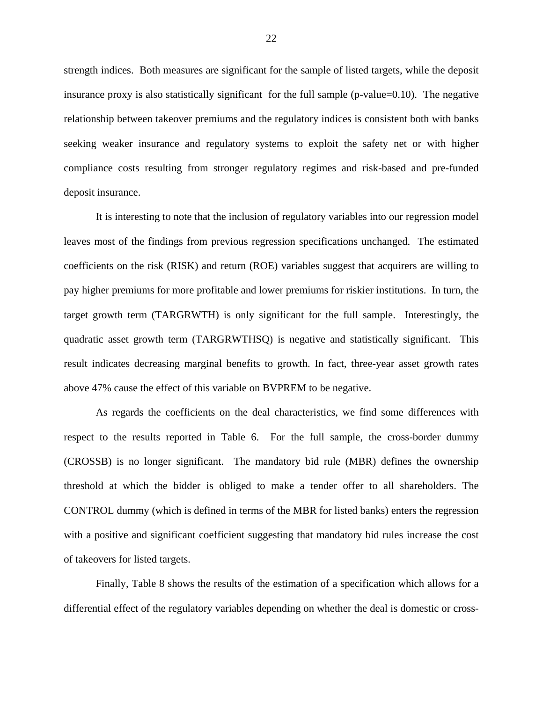strength indices. Both measures are significant for the sample of listed targets, while the deposit insurance proxy is also statistically significant for the full sample (p-value=0.10). The negative relationship between takeover premiums and the regulatory indices is consistent both with banks seeking weaker insurance and regulatory systems to exploit the safety net or with higher compliance costs resulting from stronger regulatory regimes and risk-based and pre-funded deposit insurance.

It is interesting to note that the inclusion of regulatory variables into our regression model leaves most of the findings from previous regression specifications unchanged. The estimated coefficients on the risk (RISK) and return (ROE) variables suggest that acquirers are willing to pay higher premiums for more profitable and lower premiums for riskier institutions. In turn, the target growth term (TARGRWTH) is only significant for the full sample. Interestingly, the quadratic asset growth term (TARGRWTHSQ) is negative and statistically significant. This result indicates decreasing marginal benefits to growth. In fact, three-year asset growth rates above 47% cause the effect of this variable on BVPREM to be negative.

As regards the coefficients on the deal characteristics, we find some differences with respect to the results reported in Table 6. For the full sample, the cross-border dummy (CROSSB) is no longer significant. The mandatory bid rule (MBR) defines the ownership threshold at which the bidder is obliged to make a tender offer to all shareholders. The CONTROL dummy (which is defined in terms of the MBR for listed banks) enters the regression with a positive and significant coefficient suggesting that mandatory bid rules increase the cost of takeovers for listed targets.

Finally, Table 8 shows the results of the estimation of a specification which allows for a differential effect of the regulatory variables depending on whether the deal is domestic or cross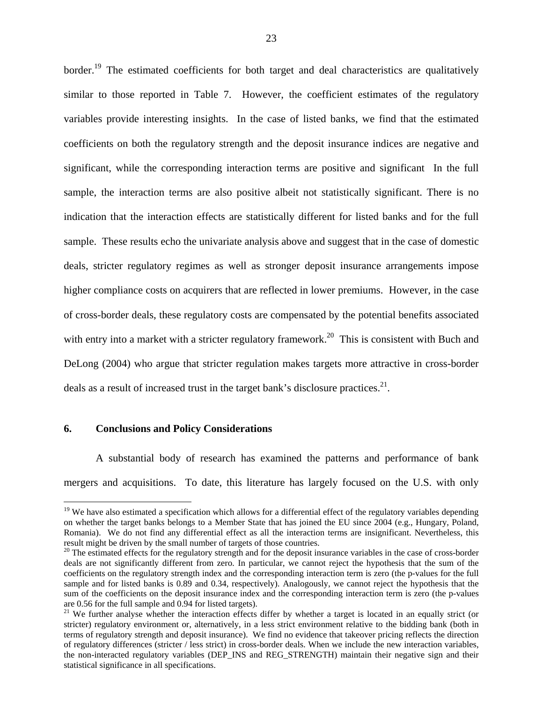border.<sup>19</sup> The estimated coefficients for both target and deal characteristics are qualitatively similar to those reported in Table 7. However, the coefficient estimates of the regulatory variables provide interesting insights. In the case of listed banks, we find that the estimated coefficients on both the regulatory strength and the deposit insurance indices are negative and significant, while the corresponding interaction terms are positive and significant In the full sample, the interaction terms are also positive albeit not statistically significant. There is no indication that the interaction effects are statistically different for listed banks and for the full sample. These results echo the univariate analysis above and suggest that in the case of domestic deals, stricter regulatory regimes as well as stronger deposit insurance arrangements impose higher compliance costs on acquirers that are reflected in lower premiums. However, in the case of cross-border deals, these regulatory costs are compensated by the potential benefits associated with entry into a market with a stricter regulatory framework.<sup>20</sup> This is consistent with Buch and DeLong (2004) who argue that stricter regulation makes targets more attractive in cross-border deals as a result of increased trust in the target bank's disclosure practices. $21$ .

#### **6. Conclusions and Policy Considerations**

 $\overline{a}$ 

 A substantial body of research has examined the patterns and performance of bank mergers and acquisitions. To date, this literature has largely focused on the U.S. with only

 $19$  We have also estimated a specification which allows for a differential effect of the regulatory variables depending on whether the target banks belongs to a Member State that has joined the EU since 2004 (e.g., Hungary, Poland, Romania). We do not find any differential effect as all the interaction terms are insignificant. Nevertheless, this result might be driven by the small number of targets of those countries.

<sup>&</sup>lt;sup>20</sup> The estimated effects for the regulatory strength and for the deposit insurance variables in the case of cross-border deals are not significantly different from zero. In particular, we cannot reject the hypothesis that the sum of the coefficients on the regulatory strength index and the corresponding interaction term is zero (the p-values for the full sample and for listed banks is 0.89 and 0.34, respectively). Analogously, we cannot reject the hypothesis that the sum of the coefficients on the deposit insurance index and the corresponding interaction term is zero (the p-values are 0.56 for the full sample and 0.94 for listed targets).

<sup>&</sup>lt;sup>21</sup> We further analyse whether the interaction effects differ by whether a target is located in an equally strict (or stricter) regulatory environment or, alternatively, in a less strict environment relative to the bidding bank (both in terms of regulatory strength and deposit insurance). We find no evidence that takeover pricing reflects the direction of regulatory differences (stricter / less strict) in cross-border deals. When we include the new interaction variables, the non-interacted regulatory variables (DEP\_INS and REG\_STRENGTH) maintain their negative sign and their statistical significance in all specifications.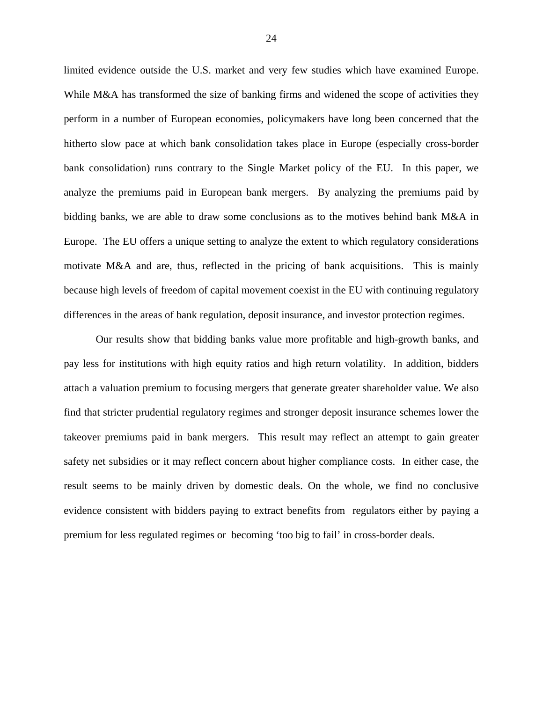limited evidence outside the U.S. market and very few studies which have examined Europe. While M&A has transformed the size of banking firms and widened the scope of activities they perform in a number of European economies, policymakers have long been concerned that the hitherto slow pace at which bank consolidation takes place in Europe (especially cross-border bank consolidation) runs contrary to the Single Market policy of the EU. In this paper, we analyze the premiums paid in European bank mergers. By analyzing the premiums paid by bidding banks, we are able to draw some conclusions as to the motives behind bank M&A in Europe. The EU offers a unique setting to analyze the extent to which regulatory considerations motivate M&A and are, thus, reflected in the pricing of bank acquisitions. This is mainly because high levels of freedom of capital movement coexist in the EU with continuing regulatory differences in the areas of bank regulation, deposit insurance, and investor protection regimes.

Our results show that bidding banks value more profitable and high-growth banks, and pay less for institutions with high equity ratios and high return volatility. In addition, bidders attach a valuation premium to focusing mergers that generate greater shareholder value. We also find that stricter prudential regulatory regimes and stronger deposit insurance schemes lower the takeover premiums paid in bank mergers. This result may reflect an attempt to gain greater safety net subsidies or it may reflect concern about higher compliance costs. In either case, the result seems to be mainly driven by domestic deals. On the whole, we find no conclusive evidence consistent with bidders paying to extract benefits from regulators either by paying a premium for less regulated regimes or becoming 'too big to fail' in cross-border deals.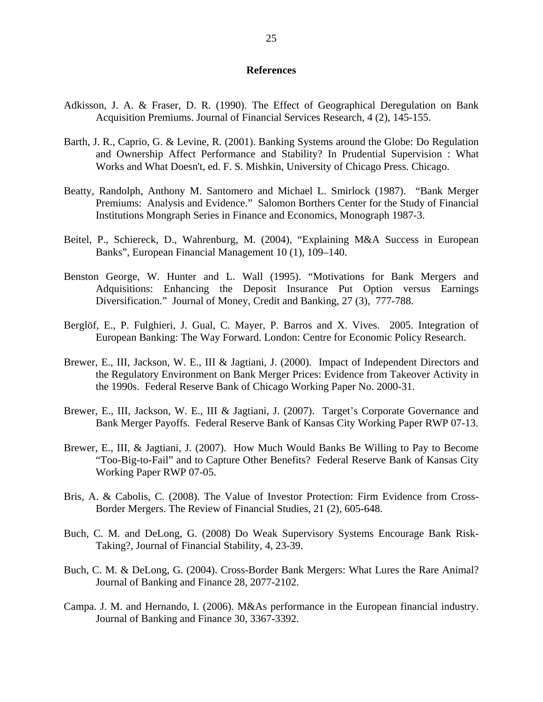#### **References**

- Adkisson, J. A. & Fraser, D. R. (1990). The Effect of Geographical Deregulation on Bank Acquisition Premiums. Journal of Financial Services Research, 4 (2), 145-155.
- Barth, J. R., Caprio, G. & Levine, R. (2001). Banking Systems around the Globe: Do Regulation and Ownership Affect Performance and Stability? In Prudential Supervision : What Works and What Doesn't, ed. F. S. Mishkin, University of Chicago Press. Chicago.
- Beatty, Randolph, Anthony M. Santomero and Michael L. Smirlock (1987). "Bank Merger Premiums: Analysis and Evidence." Salomon Borthers Center for the Study of Financial Institutions Mongraph Series in Finance and Economics, Monograph 1987-3.
- Beitel, P., Schiereck, D., Wahrenburg, M. (2004), "Explaining M&A Success in European Banks", European Financial Management 10 (1), 109–140.
- Benston George, W. Hunter and L. Wall (1995). "Motivations for Bank Mergers and Adquisitions: Enhancing the Deposit Insurance Put Option versus Earnings Diversification." Journal of Money, Credit and Banking, 27 (3), 777-788.
- Berglöf, E., P. Fulghieri, J. Gual, C. Mayer, P. Barros and X. Vives. 2005. Integration of European Banking: The Way Forward. London: Centre for Economic Policy Research.
- Brewer, E., III, Jackson, W. E., III & Jagtiani, J. (2000). Impact of Independent Directors and the Regulatory Environment on Bank Merger Prices: Evidence from Takeover Activity in the 1990s. Federal Reserve Bank of Chicago Working Paper No. 2000-31.
- Brewer, E., III, Jackson, W. E., III & Jagtiani, J. (2007). Target's Corporate Governance and Bank Merger Payoffs. Federal Reserve Bank of Kansas City Working Paper RWP 07-13.
- Brewer, E., III, & Jagtiani, J. (2007). How Much Would Banks Be Willing to Pay to Become "Too-Big-to-Fail" and to Capture Other Benefits? Federal Reserve Bank of Kansas City Working Paper RWP 07-05.
- Bris, A. & Cabolis, C. (2008). The Value of Investor Protection: Firm Evidence from Cross-Border Mergers. The Review of Financial Studies, 21 (2), 605-648.
- Buch, C. M. and DeLong, G. (2008) Do Weak Supervisory Systems Encourage Bank Risk-Taking?, Journal of Financial Stability, 4, 23-39.
- Buch, C. M. & DeLong, G. (2004). Cross-Border Bank Mergers: What Lures the Rare Animal? Journal of Banking and Finance 28, 2077-2102.
- Campa. J. M. and Hernando, I. (2006). M&As performance in the European financial industry. Journal of Banking and Finance 30, 3367-3392.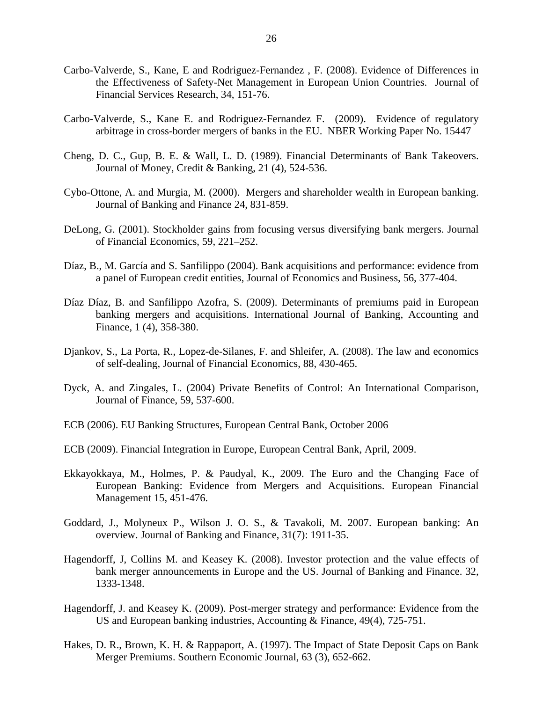- Carbo-Valverde, S., Kane, E and Rodriguez-Fernandez , F. (2008). Evidence of Differences in the Effectiveness of Safety-Net Management in European Union Countries. Journal of Financial Services Research, 34, 151-76.
- Carbo-Valverde, S., Kane E. and Rodriguez-Fernandez F. (2009). Evidence of regulatory arbitrage in cross-border mergers of banks in the EU. NBER Working Paper No. 15447
- Cheng, D. C., Gup, B. E. & Wall, L. D. (1989). Financial Determinants of Bank Takeovers. Journal of Money, Credit & Banking, 21 (4), 524-536.
- Cybo-Ottone, A. and Murgia, M. (2000). Mergers and shareholder wealth in European banking. Journal of Banking and Finance 24, 831-859.
- DeLong, G. (2001). Stockholder gains from focusing versus diversifying bank mergers. Journal of Financial Economics, 59, 221–252.
- Díaz, B., M. García and S. Sanfilippo (2004). Bank acquisitions and performance: evidence from a panel of European credit entities, Journal of Economics and Business, 56, 377-404.
- Díaz Díaz, B. and Sanfilippo Azofra, S. (2009). Determinants of premiums paid in European banking mergers and acquisitions. International Journal of Banking, Accounting and Finance, 1 (4), 358-380.
- Djankov, S., La Porta, R., Lopez-de-Silanes, F. and Shleifer, A. (2008). The law and economics of self-dealing, Journal of Financial Economics, 88, 430-465.
- Dyck, A. and Zingales, L. (2004) Private Benefits of Control: An International Comparison, Journal of Finance, 59, 537-600.
- ECB (2006). EU Banking Structures, European Central Bank, October 2006
- ECB (2009). Financial Integration in Europe, European Central Bank, April, 2009.
- Ekkayokkaya, M., Holmes, P. & Paudyal, K., 2009. The Euro and the Changing Face of European Banking: Evidence from Mergers and Acquisitions. European Financial Management 15, 451-476.
- Goddard, J., Molyneux P., Wilson J. O. S., & Tavakoli, M. 2007. European banking: An overview. Journal of Banking and Finance, 31(7): 1911-35.
- Hagendorff, J, Collins M. and Keasey K. (2008). Investor protection and the value effects of bank merger announcements in Europe and the US. Journal of Banking and Finance. 32, 1333-1348.
- Hagendorff, J. and Keasey K. (2009). Post-merger strategy and performance: Evidence from the US and European banking industries, Accounting & Finance, 49(4), 725-751.
- Hakes, D. R., Brown, K. H. & Rappaport, A. (1997). The Impact of State Deposit Caps on Bank Merger Premiums. Southern Economic Journal, 63 (3), 652-662.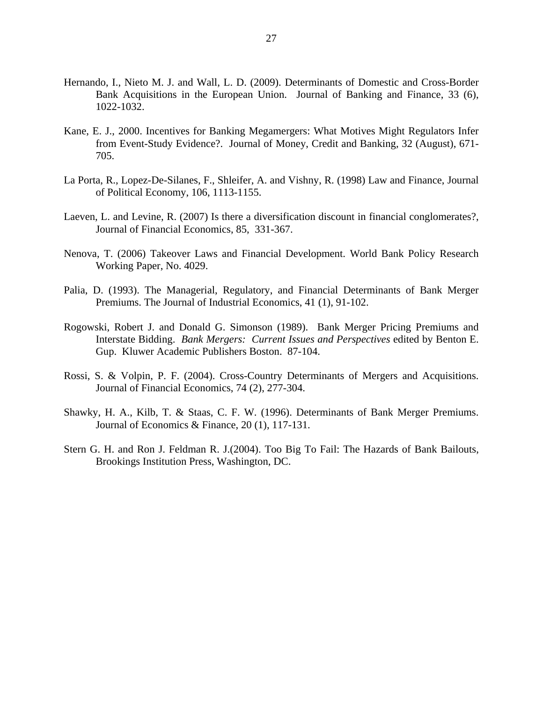- Hernando, I., Nieto M. J. and Wall, L. D. (2009). Determinants of Domestic and Cross-Border Bank Acquisitions in the European Union. Journal of Banking and Finance, 33 (6), 1022-1032.
- Kane, E. J., 2000. Incentives for Banking Megamergers: What Motives Might Regulators Infer from Event-Study Evidence?. Journal of Money, Credit and Banking, 32 (August), 671- 705.
- La Porta, R., Lopez-De-Silanes, F., Shleifer, A. and Vishny, R. (1998) Law and Finance, Journal of Political Economy, 106, 1113-1155.
- Laeven, L. and Levine, R. (2007) Is there a diversification discount in financial conglomerates?, Journal of Financial Economics, 85, 331-367.
- Nenova, T. (2006) Takeover Laws and Financial Development. World Bank Policy Research Working Paper, No. 4029.
- Palia, D. (1993). The Managerial, Regulatory, and Financial Determinants of Bank Merger Premiums. The Journal of Industrial Economics, 41 (1), 91-102.
- Rogowski, Robert J. and Donald G. Simonson (1989). Bank Merger Pricing Premiums and Interstate Bidding. *Bank Mergers: Current Issues and Perspectives* edited by Benton E. Gup. Kluwer Academic Publishers Boston. 87-104.
- Rossi, S. & Volpin, P. F. (2004). Cross-Country Determinants of Mergers and Acquisitions. Journal of Financial Economics, 74 (2), 277-304.
- Shawky, H. A., Kilb, T. & Staas, C. F. W. (1996). Determinants of Bank Merger Premiums. Journal of Economics & Finance, 20 (1), 117-131.
- Stern G. H. and Ron J. Feldman R. J.(2004). Too Big To Fail: The Hazards of Bank Bailouts, Brookings Institution Press, Washington, DC.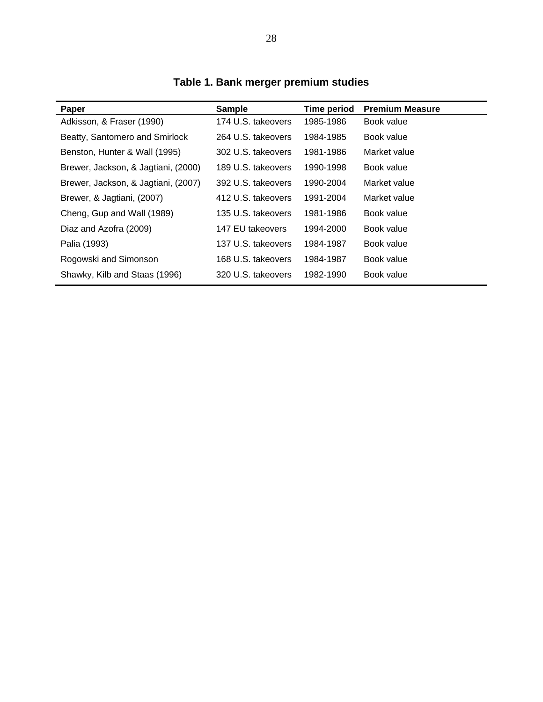| Paper                               | <b>Sample</b>      | <b>Time period</b> | <b>Premium Measure</b> |
|-------------------------------------|--------------------|--------------------|------------------------|
| Adkisson, & Fraser (1990)           | 174 U.S. takeovers | 1985-1986          | Book value             |
| Beatty, Santomero and Smirlock      | 264 U.S. takeovers | 1984-1985          | Book value             |
| Benston, Hunter & Wall (1995)       | 302 U.S. takeovers | 1981-1986          | Market value           |
| Brewer, Jackson, & Jagtiani, (2000) | 189 U.S. takeovers | 1990-1998          | Book value             |
| Brewer, Jackson, & Jagtiani, (2007) | 392 U.S. takeovers | 1990-2004          | Market value           |
| Brewer, & Jagtiani, (2007)          | 412 U.S. takeovers | 1991-2004          | Market value           |
| Cheng, Gup and Wall (1989)          | 135 U.S. takeovers | 1981-1986          | Book value             |
| Diaz and Azofra (2009)              | 147 EU takeovers   | 1994-2000          | Book value             |
| Palia (1993)                        | 137 U.S. takeovers | 1984-1987          | Book value             |
| Rogowski and Simonson               | 168 U.S. takeovers | 1984-1987          | Book value             |
| Shawky, Kilb and Staas (1996)       | 320 U.S. takeovers | 1982-1990          | Book value             |

**Table 1. Bank merger premium studies**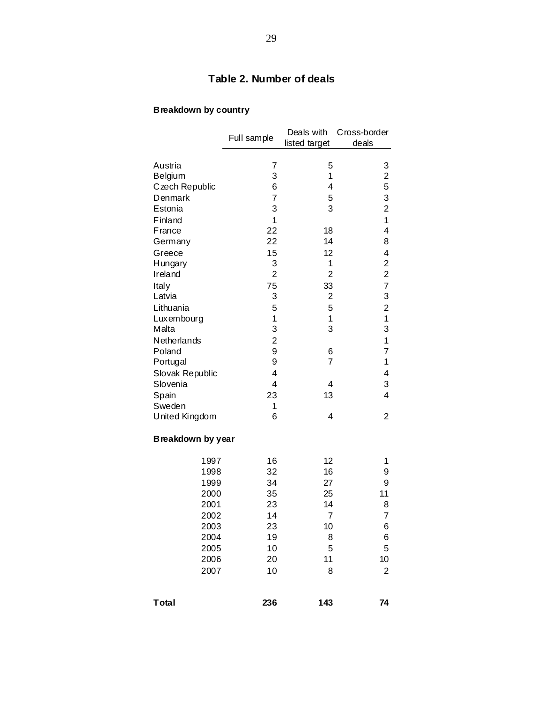## **Table 2. Number of deals**

## **Breakdown by country**

|                   | Full sample    | Deals with<br>listed target | Cross-border<br>deals   |
|-------------------|----------------|-----------------------------|-------------------------|
| Austria           | 7              | 5                           | 3                       |
| Belgium           | 3              | 1                           | 2                       |
| Czech Republic    | 6              | 4                           | 5                       |
| Denmark           | $\overline{7}$ | 5                           | 3                       |
| Estonia           | 3              | 3                           | $\overline{2}$          |
| Finland           | 1              |                             | 1                       |
| <b>France</b>     | 22             | 18                          | 4                       |
| Germany           | 22             | 14                          | 8                       |
| Greece            | 15             | 12                          | 4                       |
| Hungary           | 3              | 1                           | $\overline{\mathbf{c}}$ |
| Ireland           | $\overline{2}$ | $\overline{2}$              | $\overline{c}$          |
| Italy             | 75             | 33                          | $\overline{7}$          |
| Latvia            | 3              | $\overline{\mathbf{c}}$     | 3                       |
| Lithuania         | 5              | 5                           | $\overline{\mathbf{c}}$ |
| Luxembourg        | 1              | 1                           | $\mathbf 1$             |
| Malta             | 3              | 3                           | 3                       |
| Netherlands       | $\overline{c}$ |                             | 1                       |
| Poland            | 9              | 6                           | 7                       |
| Portugal          | 9              | $\overline{7}$              | 1                       |
| Slovak Republic   | $\overline{4}$ |                             | 4                       |
| Slovenia          | 4              | 4                           | 3                       |
| Spain             | 23             | 13                          | 4                       |
| Sweden            | 1              |                             |                         |
| United Kingdom    | 6              | 4                           | $\overline{2}$          |
| Breakdown by year |                |                             |                         |
| 1997              | 16             | 12                          | 1                       |
| 1998              | 32             | 16                          | 9                       |
| 1999              | 34             | 27                          | 9                       |
| 2000              | 35             | 25                          | 11                      |
| 2001              | 23             | 14                          | 8                       |
| 2002              | 14             | $\overline{7}$              | 7                       |
| 2003              | 23             | 10                          | 6                       |
| 2004              | 19             | 8                           | 6                       |
| 2005              | 10             | 5                           | 5                       |
| 2006              | 20             | 11                          | 10                      |
| 2007              | 10             | 8                           | $\overline{2}$          |
| Total             | 236            | 143                         | 74                      |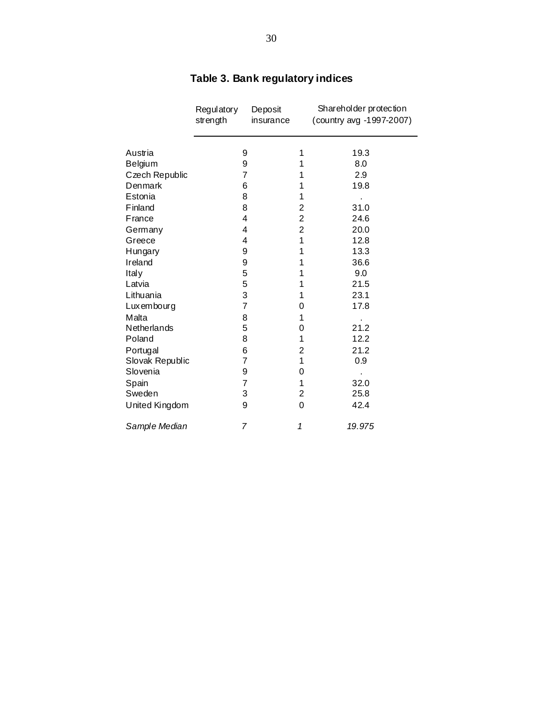|                 | Regulatory<br>strength | Deposit<br>insurance |                | Shareholder protection<br>(country avg -1997-2007) |
|-----------------|------------------------|----------------------|----------------|----------------------------------------------------|
| Austria         | 9                      |                      | 1              | 19.3                                               |
| Belgium         | 9                      |                      | 1              | 8.0                                                |
| Czech Republic  | $\overline{7}$         |                      | 1              | 2.9                                                |
| Denmark         | 6                      |                      | 1              | 19.8                                               |
| Estonia         | 8                      |                      | 1              |                                                    |
| Finland         | 8                      |                      | 2              | 31.0                                               |
| France          | 4                      |                      | $\overline{2}$ | 24.6                                               |
| Germany         | 4                      |                      | $\overline{c}$ | 20.0                                               |
| Greece          | 4                      |                      | 1              | 12.8                                               |
| Hungary         | 9                      |                      | 1              | 13.3                                               |
| Ireland         | 9                      |                      | 1              | 36.6                                               |
| Italy           | 5                      |                      | 1              | 9.0                                                |
| Latvia          | 5                      |                      | 1              | 21.5                                               |
| Lithuania       | 3                      |                      | 1              | 23.1                                               |
| Luxembourg      | $\overline{7}$         |                      | 0              | 17.8                                               |
| Malta           | 8                      |                      | 1              |                                                    |
| Netherlands     | 5                      |                      | 0              | 21.2                                               |
| Poland          | 8                      |                      | 1              | 12.2                                               |
| Portugal        | 6                      |                      | $\overline{c}$ | 21.2                                               |
| Slovak Republic | 7                      |                      | 1              | 0.9                                                |
| Slovenia        | 9                      |                      | 0              |                                                    |
| Spain           | $\overline{7}$         |                      | 1              | 32.0                                               |
| Sweden          | 3                      |                      | $\overline{2}$ | 25.8                                               |
| United Kingdom  | 9                      |                      | 0              | 42.4                                               |
| Sample Median   | $\overline{7}$         |                      | 1              | 19.975                                             |

# **Table 3. Bank regulatory indices**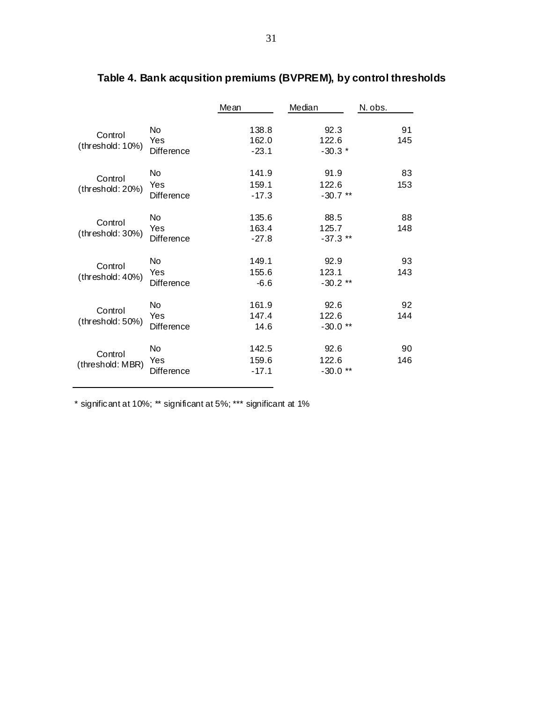|                             |                                | Mean                      | Median                      | N. obs.   |
|-----------------------------|--------------------------------|---------------------------|-----------------------------|-----------|
| Control<br>(threshold: 10%) | No<br>Yes<br><b>Difference</b> | 138.8<br>162.0<br>$-23.1$ | 92.3<br>122.6<br>$-30.3*$   | 91<br>145 |
| Control<br>(threshold: 20%) | No<br>Yes<br><b>Difference</b> | 141.9<br>159.1<br>$-17.3$ | 91.9<br>122.6<br>$-30.7**$  | 83<br>153 |
| Control<br>(threshold: 30%) | No<br>Yes<br>Difference        | 135.6<br>163.4<br>$-27.8$ | 88.5<br>125.7<br>$-37.3$ ** | 88<br>148 |
| Control<br>(threshold: 40%) | No<br>Yes<br>Difference        | 149.1<br>155.6<br>$-6.6$  | 92.9<br>123.1<br>$-30.2**$  | 93<br>143 |
| Control<br>(threshold: 50%) | No<br>Yes<br>Difference        | 161.9<br>147.4<br>14.6    | 92.6<br>122.6<br>$-30.0**$  | 92<br>144 |
| Control<br>(threshold: MBR) | No<br>Yes<br>Difference        | 142.5<br>159.6<br>$-17.1$ | 92.6<br>122.6<br>$-30.0$ ** | 90<br>146 |

# **Table 4. Bank acqusition premiums (BVPREM), by control thresholds**

\* significant at 10%; \*\* significant at 5%; \*\*\* significant at 1%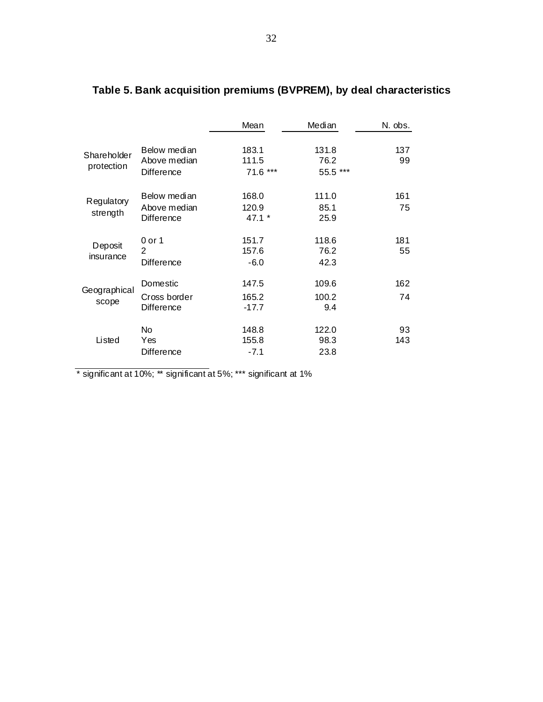|                           |                                                   | Mean                       | Median                    | N. obs.   |
|---------------------------|---------------------------------------------------|----------------------------|---------------------------|-----------|
| Shareholder<br>protection | Below median<br>Above median<br><b>Difference</b> | 183.1<br>111.5<br>71.6 *** | 131.8<br>76.2<br>55.5 *** | 137<br>99 |
| Regulatory<br>strength    | Below median<br>Above median<br><b>Difference</b> | 168.0<br>120.9<br>$47.1*$  | 111.0<br>85.1<br>25.9     | 161<br>75 |
| Deposit<br>insurance      | $0$ or $1$<br>2<br><b>Difference</b>              | 151.7<br>157.6<br>$-6.0$   | 118.6<br>76.2<br>42.3     | 181<br>55 |
| Geographical<br>scope     | Domestic<br>Cross border<br><b>Difference</b>     | 147.5<br>165.2<br>$-17.7$  | 109.6<br>100.2<br>9.4     | 162<br>74 |
| Listed                    | No.<br>Yes<br><b>Difference</b>                   | 148.8<br>155.8<br>$-7.1$   | 122.0<br>98.3<br>23.8     | 93<br>143 |

# **Table 5. Bank acquisition premiums (BVPREM), by deal characteristics**

\* significant at 10%; \*\* significant at 5%; \*\*\* significant at 1%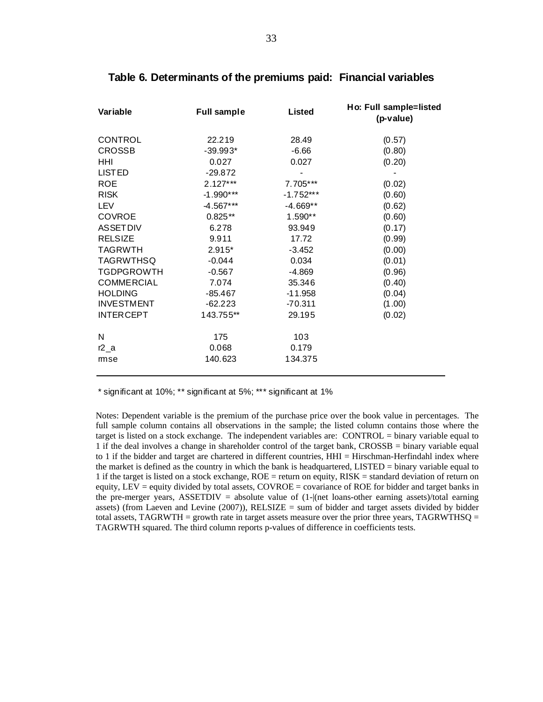| Variable          | <b>Full sample</b> | Listed      | Ho: Full sample=listed<br>(p-value) |
|-------------------|--------------------|-------------|-------------------------------------|
| <b>CONTROL</b>    | 22.219             | 28.49       | (0.57)                              |
| <b>CROSSB</b>     | $-39.993*$         | $-6.66$     | (0.80)                              |
| HHI               | 0.027              | 0.027       | (0.20)                              |
| <b>LISTED</b>     | $-29.872$          |             |                                     |
| <b>ROE</b>        | $2.127***$         | 7.705***    | (0.02)                              |
| <b>RISK</b>       | $-1.990***$        | $-1.752***$ | (0.60)                              |
| LEV               | $-4.567***$        | -4.669**    | (0.62)                              |
| <b>COVROE</b>     | $0.825**$          | $1.590**$   | (0.60)                              |
| <b>ASSETDIV</b>   | 6.278              | 93.949      | (0.17)                              |
| <b>RELSIZE</b>    | 9.911              | 17.72       | (0.99)                              |
| <b>TAGRWTH</b>    | $2.915*$           | $-3.452$    | (0.00)                              |
| <b>TAGRWTHSQ</b>  | $-0.044$           | 0.034       | (0.01)                              |
| <b>TGDPGROWTH</b> | $-0.567$           | $-4.869$    | (0.96)                              |
| <b>COMMERCIAL</b> | 7.074              | 35.346      | (0.40)                              |
| <b>HOLDING</b>    | $-85.467$          | $-11.958$   | (0.04)                              |
| <b>INVESTMENT</b> | $-62.223$          | $-70.311$   | (1.00)                              |
| <b>INTERCEPT</b>  | 143.755**          | 29.195      | (0.02)                              |
| N                 | 175                | 103         |                                     |
| $r2_a$            | 0.068              | 0.179       |                                     |
| mse               | 140.623            | 134.375     |                                     |

#### **Table 6. Determinants of the premiums paid: Financial variables**

\* significant at 10%; \*\* significant at 5%; \*\*\* significant at 1%

Notes: Dependent variable is the premium of the purchase price over the book value in percentages. The full sample column contains all observations in the sample; the listed column contains those where the target is listed on a stock exchange. The independent variables are: CONTROL = binary variable equal to 1 if the deal involves a change in shareholder control of the target bank, CROSSB = binary variable equal to 1 if the bidder and target are chartered in different countries, HHI = Hirschman-Herfindahl index where the market is defined as the country in which the bank is headquartered, LISTED = binary variable equal to 1 if the target is listed on a stock exchange, ROE = return on equity, RISK = standard deviation of return on equity, LEV = equity divided by total assets, COVROE = covariance of ROE for bidder and target banks in the pre-merger years, ASSETDIV = absolute value of (1-|(net loans-other earning assets)/total earning assets) (from Laeven and Levine  $(2007)$ ), RELSIZE = sum of bidder and target assets divided by bidder total assets,  $TAGRWTH =$  growth rate in target assets measure over the prior three years,  $TAGRWTHSO =$ TAGRWTH squared. The third column reports p-values of difference in coefficients tests.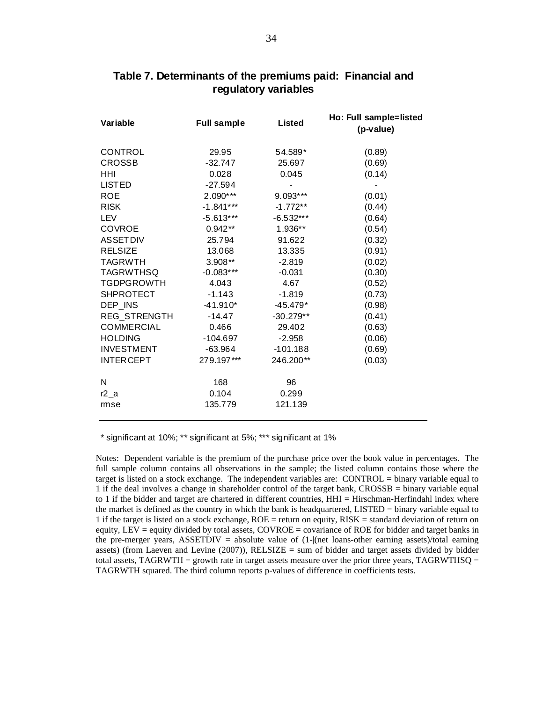| Variable            | <b>Full sample</b> | <b>Listed</b> | Ho: Full sample=listed<br>(p-value) |
|---------------------|--------------------|---------------|-------------------------------------|
| CONTROL             | 29.95              | 54.589*       | (0.89)                              |
| <b>CROSSB</b>       | $-32.747$          | 25.697        | (0.69)                              |
| HHI                 | 0.028              | 0.045         | (0.14)                              |
| <b>LISTED</b>       | $-27.594$          |               |                                     |
| <b>ROE</b>          | $2.090***$         | 9.093***      | (0.01)                              |
| <b>RISK</b>         | $-1.841***$        | $-1.772**$    | (0.44)                              |
| LEV                 | $-5.613***$        | $-6.532***$   | (0.64)                              |
| <b>COVROE</b>       | $0.942**$          | 1.936**       | (0.54)                              |
| <b>ASSETDIV</b>     | 25.794             | 91.622        | (0.32)                              |
| <b>RELSIZE</b>      | 13.068             | 13.335        | (0.91)                              |
| <b>TAGRWTH</b>      | 3.908**            | $-2.819$      | (0.02)                              |
| <b>TAGRWTHSQ</b>    | $-0.083***$        | $-0.031$      | (0.30)                              |
| <b>TGDPGROWTH</b>   | 4.043              | 4.67          | (0.52)                              |
| <b>SHPROTECT</b>    | $-1.143$           | $-1.819$      | (0.73)                              |
| DEP INS             | $-41.910*$         | $-45.479*$    | (0.98)                              |
| <b>REG STRENGTH</b> | $-14.47$           | $-30.279**$   | (0.41)                              |
| <b>COMMERCIAL</b>   | 0.466              | 29.402        | (0.63)                              |
| <b>HOLDING</b>      | $-104.697$         | $-2.958$      | (0.06)                              |
| <b>INVESTMENT</b>   | $-63.964$          | $-101.188$    | (0.69)                              |
| <b>INTERCEPT</b>    | 279.197***         | 246.200**     | (0.03)                              |
| N                   | 168                | 96            |                                     |
| $r2_a$              | 0.104              | 0.299         |                                     |
| mse                 | 135.779            | 121.139       |                                     |

### **Table 7. Determinants of the premiums paid: Financial and regulatory variables**

\* significant at 10%; \*\* significant at 5%; \*\*\* significant at 1%

Notes: Dependent variable is the premium of the purchase price over the book value in percentages. The full sample column contains all observations in the sample; the listed column contains those where the target is listed on a stock exchange. The independent variables are: CONTROL = binary variable equal to 1 if the deal involves a change in shareholder control of the target bank, CROSSB = binary variable equal to 1 if the bidder and target are chartered in different countries, HHI = Hirschman-Herfindahl index where the market is defined as the country in which the bank is headquartered, LISTED = binary variable equal to 1 if the target is listed on a stock exchange, ROE = return on equity, RISK = standard deviation of return on equity, LEV = equity divided by total assets, COVROE = covariance of ROE for bidder and target banks in the pre-merger years, ASSETDIV = absolute value of (1-|(net loans-other earning assets)/total earning assets) (from Laeven and Levine  $(2007)$ ), RELSIZE = sum of bidder and target assets divided by bidder total assets, TAGRWTH = growth rate in target assets measure over the prior three years, TAGRWTHSQ = TAGRWTH squared. The third column reports p-values of difference in coefficients tests.